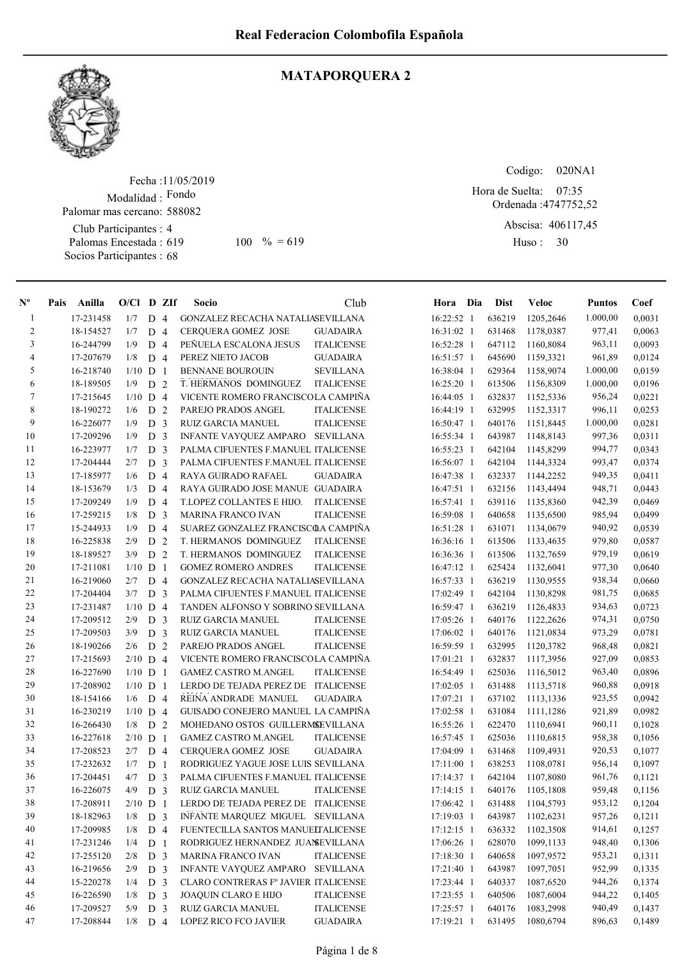

# MATAPORQUERA 2

Fecha : 11/05/2019 Modalidad : Fondo Club Participantes : 4 Palomas Encestada : 588082 Palomar mas cercano:

Socios Participantes : 68

619 100 % = 619 Huso: 30

Codigo: 020NA1

Ordenada : 4747752,52 Abscisa: 406117,45 07:35 Hora de Suelta:

Huso: 30

| $N^{\circ}$    | Pais | Anilla    | $O/Cl$ D ZIf |                |                | Socio                                | Club              | Hora Dia     | <b>Dist</b> | Veloc     | <b>Puntos</b> | Coef   |
|----------------|------|-----------|--------------|----------------|----------------|--------------------------------------|-------------------|--------------|-------------|-----------|---------------|--------|
| 1              |      | 17-231458 | 1/7          | D <sub>4</sub> |                | GONZALEZ RECACHA NATALIASEVILLANA    |                   | 16:22:52 1   | 636219      | 1205,2646 | 1.000,00      | 0,0031 |
| $\overline{c}$ |      | 18-154527 | 1/7          | D 4            |                | CERQUERA GOMEZ JOSE                  | <b>GUADAIRA</b>   | 16:31:02 1   | 631468      | 1178,0387 | 977,41        | 0,0063 |
| 3              |      | 16-244799 | 1/9          | D <sub>4</sub> |                | PEÑUELA ESCALONA JESUS               | <b>ITALICENSE</b> | 16:52:28 1   | 647112      | 1160,8084 | 963,11        | 0,0093 |
| 4              |      | 17-207679 | 1/8          | D <sub>4</sub> |                | PEREZ NIETO JACOB                    | <b>GUADAIRA</b>   | 16:51:57 1   | 645690      | 1159,3321 | 961,89        | 0,0124 |
| 5              |      | 16-218740 | $1/10$ D     |                | $\overline{1}$ | <b>BENNANE BOUROUIN</b>              | <b>SEVILLANA</b>  | 16:38:04 1   | 629364      | 1158,9074 | 1.000,00      | 0,0159 |
| 6              |      | 18-189505 | 1/9          | D              | $\overline{2}$ | T. HERMANOS DOMINGUEZ                | <b>ITALICENSE</b> | 16:25:20 1   | 613506      | 1156,8309 | 1.000,00      | 0,0196 |
| 7              |      | 17-215645 | $1/10$ D 4   |                |                | VICENTE ROMERO FRANCISCOLA CAMPIÑA   |                   | 16:44:05 1   | 632837      | 1152,5336 | 956,24        | 0,0221 |
| $\,8\,$        |      | 18-190272 | 1/6          | D              | 2              | PAREJO PRADOS ANGEL                  | <b>ITALICENSE</b> | 16:44:19 1   | 632995      | 1152,3317 | 996,11        | 0,0253 |
| 9              |      | 16-226077 | 1/9          | D              | 3              | <b>RUIZ GARCIA MANUEL</b>            | <b>ITALICENSE</b> | 16:50:47 1   | 640176      | 1151,8445 | 1.000,00      | 0,0281 |
| 10             |      | 17-209296 | 1/9          | D              | 3              | INFANTE VAYQUEZ AMPARO               | <b>SEVILLANA</b>  | 16:55:34 1   | 643987      | 1148,8143 | 997,36        | 0,0311 |
| 11             |      | 16-223977 | 1/7          | D              | 3              | PALMA CIFUENTES F.MANUEL ITALICENSE  |                   | 16:55:23 1   | 642104      | 1145,8299 | 994,77        | 0,0343 |
| 12             |      | 17-204444 | 2/7          | D              | 3              | PALMA CIFUENTES F.MANUEL ITALICENSE  |                   | 16:56:07 1   | 642104      | 1144,3324 | 993,47        | 0,0374 |
| 13             |      | 17-185977 | 1/6          | D              | $\overline{4}$ | RAYA GUIRADO RAFAEL                  | <b>GUADAIRA</b>   | 16:47:38 1   | 632337      | 1144,2252 | 949,35        | 0,0411 |
| 14             |      | 18-153679 | 1/3          | D <sub>4</sub> |                | RAYA GUIRADO JOSE MANUE GUADAIRA     |                   | 16:47:51 1   | 632156      | 1143,4494 | 948,71        | 0,0443 |
| 15             |      | 17-209249 | 1/9          | D <sub>4</sub> |                | T.LOPEZ COLLANTES E HIJO.            | <b>ITALICENSE</b> | 16:57:41 1   | 639116      | 1135,8360 | 942,39        | 0,0469 |
| 16             |      | 17-259215 | 1/8          | D <sub>3</sub> |                | <b>MARINA FRANCO IVAN</b>            | <b>ITALICENSE</b> | 16:59:08 1   | 640658      | 1135,6500 | 985,94        | 0,0499 |
| 17             |      | 15-244933 | 1/9          | D <sub>4</sub> |                | SUAREZ GONZALEZ FRANCISCOA CAMPIÑA   |                   | 16:51:28 1   | 631071      | 1134,0679 | 940,92        | 0,0539 |
| 18             |      | 16-225838 | 2/9          | D              | $\overline{2}$ | T. HERMANOS DOMINGUEZ                | <b>ITALICENSE</b> | 16:36:16 1   | 613506      | 1133,4635 | 979,80        | 0,0587 |
| 19             |      | 18-189527 | 3/9          | D              | 2              | T. HERMANOS DOMINGUEZ                | <b>ITALICENSE</b> | 16:36:36 1   | 613506      | 1132,7659 | 979,19        | 0,0619 |
| $20\,$         |      | 17-211081 | $1/10$ D     |                | 1              | <b>GOMEZ ROMERO ANDRES</b>           | <b>ITALICENSE</b> | 16:47:12 1   | 625424      | 1132,6041 | 977,30        | 0,0640 |
| 21             |      | 16-219060 | 2/7          | D              | $\overline{4}$ | GONZALEZ RECACHA NATALIASEVILLANA    |                   | 16:57:33 1   | 636219      | 1130,9555 | 938,34        | 0,0660 |
| $22\,$         |      | 17-204404 | 3/7          | D              | 3              | PALMA CIFUENTES F.MANUEL ITALICENSE  |                   | 17:02:49 1   | 642104      | 1130,8298 | 981,75        | 0,0685 |
| 23             |      | 17-231487 | 1/10         | D <sub>4</sub> |                | TANDEN ALFONSO Y SOBRINO SEVILLANA   |                   | 16:59:47 1   | 636219      | 1126,4833 | 934,63        | 0,0723 |
| 24             |      | 17-209512 | 2/9          | D              | 3              | RUIZ GARCIA MANUEL                   | <b>ITALICENSE</b> | 17:05:26 1   | 640176      | 1122,2626 | 974,31        | 0,0750 |
| 25             |      | 17-209503 | 3/9          | D              | $\overline{3}$ | RUIZ GARCIA MANUEL                   | <b>ITALICENSE</b> | 17:06:02 1   | 640176      | 1121,0834 | 973,29        | 0,0781 |
| $26\,$         |      | 18-190266 | 2/6          | D 2            |                | PAREJO PRADOS ANGEL                  | <b>ITALICENSE</b> | 16:59:59 1   | 632995      | 1120,3782 | 968,48        | 0,0821 |
| 27             |      | 17-215693 | $2/10$ D 4   |                |                | VICENTE ROMERO FRANCISCOLA CAMPIÑA   |                   | 17:01:21 1   | 632837      | 1117,3956 | 927,09        | 0,0853 |
| $28\,$         |      | 16-227690 | $1/10$ D 1   |                |                | <b>GAMEZ CASTRO M.ANGEL</b>          | <b>ITALICENSE</b> | 16:54:49 1   | 625036      | 1116,5012 | 963,40        | 0,0896 |
| 29             |      | 17-208902 | $1/10$ D 1   |                |                | LERDO DE TEJADA PEREZ DE ITALICENSE  |                   | 17:02:05 1   | 631488      | 1113,5718 | 960,88        | 0,0918 |
| 30             |      | 18-154166 | 1/6          | D              | $\overline{4}$ | REINA ANDRADE MANUEL                 | <b>GUADAIRA</b>   | 17:07:21 1   | 637102      | 1113,1336 | 923,55        | 0,0942 |
| 31             |      | 16-230219 | $1/10$ D 4   |                |                | GUISADO CONEJERO MANUEL LA CAMPINA   |                   | 17:02:58 1   | 631084      | 1111,1286 | 921,89        | 0,0982 |
| 32             |      | 16-266430 | 1/8          | D              | 2              | MOHEDANO OSTOS GUILLERMSEVILLANA     |                   | 16:55:26 1   | 622470      | 1110,6941 | 960,11        | 0,1028 |
| 33             |      | 16-227618 | $2/10$ D     |                | $\overline{1}$ | <b>GAMEZ CASTRO M.ANGEL</b>          | <b>ITALICENSE</b> | 16:57:45 1   | 625036      | 1110,6815 | 958,38        | 0,1056 |
| 34             |      | 17-208523 | 2/7          | D 4            |                | <b>CERQUERA GOMEZ JOSE</b>           | <b>GUADAIRA</b>   | 17:04:09 1   | 631468      | 1109,4931 | 920,53        | 0,1077 |
| 35             |      | 17-232632 | 1/7          | D              | -1             | RODRIGUEZ YAGUE JOSE LUIS SEVILLANA  |                   | 17:11:00 1   | 638253      | 1108,0781 | 956,14        | 0,1097 |
| 36             |      | 17-204451 | 4/7          | D              | 3              | PALMA CIFUENTES F.MANUEL ITALICENSE  |                   | $17:14:37$ 1 | 642104      | 1107,8080 | 961,76        | 0,1121 |
| 37             |      | 16-226075 | 4/9          | D              | 3              | <b>RUIZ GARCIA MANUEL</b>            | <b>ITALICENSE</b> | $17:14:15$ 1 | 640176      | 1105,1808 | 959,48        | 0,1156 |
| $3\,8$         |      | 17-208911 | $2/10$ D 1   |                |                | LERDO DE TEJADA PEREZ DE ITALICENSE  |                   | 17:06:42 1   | 631488      | 1104,5793 | 953,12        | 0,1204 |
| 39             |      | 18-182963 | 1/8          | D <sub>3</sub> |                | INFANTE MARQUEZ MIGUEL SEVILLANA     |                   | 17:19:03 1   | 643987      | 1102,6231 | 957,26        | 0,1211 |
| 40             |      | 17-209985 | 1/8          | D 4            |                | FUENTECILLA SANTOS MANUELTALICENSE   |                   | 17:12:15 1   | 636332      | 1102,3508 | 914,61        | 0,1257 |
| 41             |      | 17-231246 | 1/4          | D <sub>1</sub> |                | RODRIGUEZ HERNANDEZ JUANSEVILLANA    |                   | 17:06:26 1   | 628070      | 1099,1133 | 948,40        | 0,1306 |
| 42             |      | 17-255120 | 2/8          | D <sub>3</sub> |                | MARINA FRANCO IVAN                   | <b>ITALICENSE</b> | 17:18:30 1   | 640658      | 1097,9572 | 953,21        | 0,1311 |
| 43             |      | 16-219656 | 2/9          | D <sub>3</sub> |                | INFANTE VAYQUEZ AMPARO SEVILLANA     |                   | 17:21:40 1   | 643987      | 1097,7051 | 952,99        | 0,1335 |
| 44             |      | 15-220278 | 1/4          | D <sub>3</sub> |                | CLARO CONTRERAS Fº JAVIER ITALICENSE |                   | 17:23:44 1   | 640337      | 1087,6520 | 944,26        | 0,1374 |
| 45             |      | 16-226590 | 1/8          | D <sub>3</sub> |                | JOAQUIN CLARO E HIJO                 | <b>ITALICENSE</b> | 17:23:55 1   | 640506      | 1087,6004 | 944,22        | 0,1405 |
| 46             |      | 17-209527 | 5/9          | D <sub>3</sub> |                | RUIZ GARCIA MANUEL                   | <b>ITALICENSE</b> | 17:25:57 1   | 640176      | 1083,2998 | 940,49        | 0,1437 |
| 47             |      | 17-208844 | 1/8          | D 4            |                | LOPEZ RICO FCO JAVIER                | <b>GUADAIRA</b>   | 17:19:21 1   | 631495      | 1080,6794 | 896,63        | 0,1489 |
|                |      |           |              |                |                |                                      |                   |              |             |           |               |        |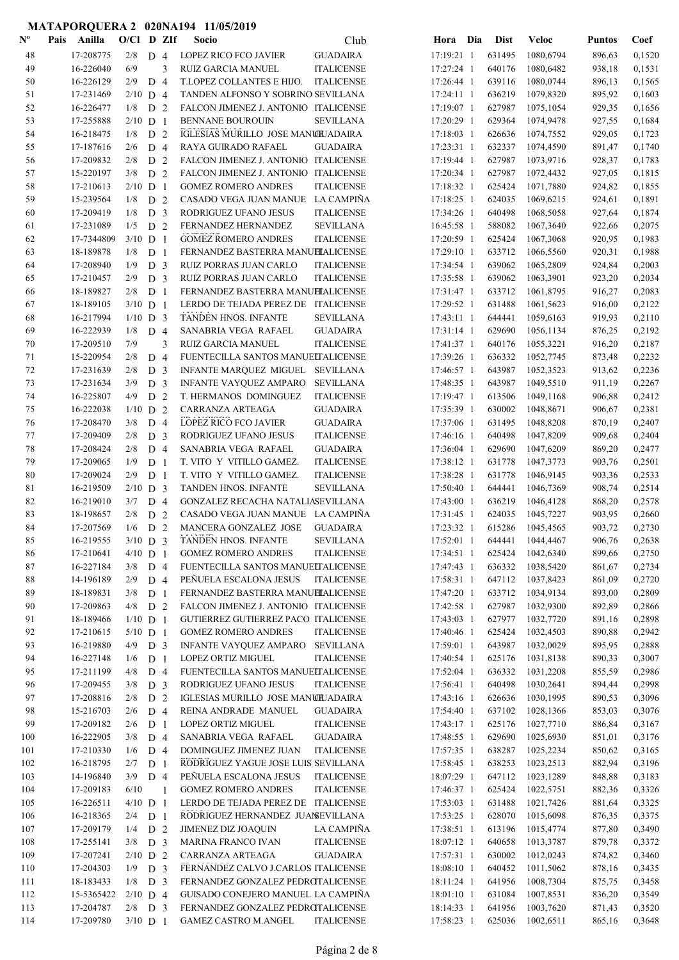| $\mathbf{N}^{\mathbf{o}}$ | Pais | Anilla                 | O/Cl D ZIf |                |   | Socio                                | Club              | Hora Dia     | <b>Dist</b> | <b>Veloc</b> | <b>Puntos</b> | Coef   |
|---------------------------|------|------------------------|------------|----------------|---|--------------------------------------|-------------------|--------------|-------------|--------------|---------------|--------|
| 48                        |      | 17-208775              | 2/8        | D <sub>4</sub> |   | LOPEZ RICO FCO JAVIER                | <b>GUADAIRA</b>   | 17:19:21 1   | 631495      | 1080,6794    | 896,63        | 0,1520 |
| 49                        |      | 16-226040              | 6/9        |                | 3 | RUIZ GARCIA MANUEL                   | <b>ITALICENSE</b> | 17:27:24 1   | 640176      | 1080,6482    | 938,18        | 0,1531 |
| 50                        |      | 16-226129              | 2/9        | D <sub>4</sub> |   | T.LOPEZ COLLANTES E HIJO.            | <b>ITALICENSE</b> | 17:26:44 1   | 639116      | 1080,0744    | 896,13        | 0,1565 |
| 51                        |      | 17-231469              | $2/10$ D 4 |                |   | TANDEN ALFONSO Y SOBRINO SEVILLANA   |                   | $17:24:11$ 1 | 636219      | 1079,8320    | 895,92        | 0,1603 |
| 52                        |      | 16-226477              | $1/8$ D 2  |                |   | FALCON JIMENEZ J. ANTONIO ITALICENSE |                   | 17:19:07 1   | 627987      | 1075,1054    | 929,35        | 0,1656 |
| 53                        |      | 17-255888              | $2/10$ D 1 |                |   | <b>BENNANE BOUROUIN</b>              | <b>SEVILLANA</b>  | 17:20:29 1   | 629364      | 1074,9478    | 927,55        | 0,1684 |
| 54                        |      | 16-218475              | 1/8        | D <sub>2</sub> |   | IGLESIAS MURILLO JOSE MANUILJADAIRA  |                   | $17:18:03$ 1 | 626636      | 1074,7552    | 929,05        | 0,1723 |
| 55                        |      | 17-187616              | 2/6        | D <sub>4</sub> |   | RAYA GUIRADO RAFAEL                  | <b>GUADAIRA</b>   | 17:23:31 1   | 632337      | 1074,4590    | 891,47        | 0,1740 |
| 56                        |      | 17-209832              | 2/8        | D 2            |   | FALCON JIMENEZ J. ANTONIO ITALICENSE |                   | 17:19:44 1   | 627987      | 1073,9716    | 928,37        | 0,1783 |
| 57                        |      | 15-220197              | 3/8        | D <sub>2</sub> |   | FALCON JIMENEZ J. ANTONIO ITALICENSE |                   | 17:20:34 1   | 627987      | 1072,4432    | 927,05        | 0,1815 |
| 58                        |      | 17-210613              | $2/10$ D 1 |                |   | <b>GOMEZ ROMERO ANDRES</b>           | <b>ITALICENSE</b> | 17:18:32 1   | 625424      | 1071,7880    | 924,82        | 0,1855 |
| 59                        |      | 15-239564              | 1/8        | D <sub>2</sub> |   | CASADO VEGA JUAN MANUE LA CAMPIÑA    |                   | 17:18:25 1   | 624035      | 1069,6215    | 924,61        | 0,1891 |
| 60                        |      | 17-209419              | 1/8        | D <sub>3</sub> |   | RODRIGUEZ UFANO JESUS                | <b>ITALICENSE</b> | 17:34:26 1   | 640498      | 1068,5058    | 927,64        | 0,1874 |
| 61                        |      | 17-231089              | 1/5        | D <sub>2</sub> |   | FERNANDEZ HERNANDEZ                  | <b>SEVILLANA</b>  | 16:45:58 1   | 588082      | 1067,3640    | 922,66        | 0,2075 |
| 62                        |      | 17-7344809             | $3/10$ D 1 |                |   | <b>GOMEZ ROMERO ANDRES</b>           | <b>ITALICENSE</b> | 17:20:59 1   | 625424      | 1067,3068    | 920,95        | 0,1983 |
| 63                        |      | 18-189878              | 1/8        | D <sub>1</sub> |   | FERNANDEZ BASTERRA MANUELALICENSE    |                   | 17:29:10 1   | 633712      | 1066,5560    | 920,31        | 0,1988 |
| 64                        |      | 17-208940              | 1/9        | D <sub>3</sub> |   | RUIZ PORRAS JUAN CARLO               | <b>ITALICENSE</b> | 17:34:54 1   | 639062      | 1065,2809    | 924,84        | 0,2003 |
| 65                        |      | 17-210457              | 2/9        | D <sub>3</sub> |   | RUIZ PORRAS JUAN CARLO               | <b>ITALICENSE</b> | 17:35:58 1   | 639062      | 1063,3901    | 923,20        | 0,2034 |
| 66                        |      | 18-189827              | 2/8        | D <sub>1</sub> |   | FERNANDEZ BASTERRA MANUELALICENSE    |                   | 17:31:47 1   | 633712      | 1061,8795    | 916,27        | 0,2083 |
| 67                        |      | 18-189105              | $3/10$ D 1 |                |   | LERDO DE TEJADA PEREZ DE ITALICENSE  |                   | 17:29:52 1   | 631488      | 1061,5623    | 916,00        | 0,2122 |
| 68                        |      | 16-217994              | $1/10$ D 3 |                |   | TANDEN HNOS. INFANTE                 | <b>SEVILLANA</b>  | 17:43:11 1   | 644441      | 1059,6163    | 919,93        | 0,2110 |
| 69                        |      | 16-222939              | 1/8        | D <sub>4</sub> |   | SANABRIA VEGA RAFAEL                 | <b>GUADAIRA</b>   | $17:31:14$ 1 | 629690      | 1056,1134    | 876,25        | 0,2192 |
| 70                        |      | 17-209510              | 7/9        |                | 3 | <b>RUIZ GARCIA MANUEL</b>            | <b>ITALICENSE</b> | 17:41:37 1   | 640176      | 1055,3221    | 916,20        | 0,2187 |
| 71                        |      | 15-220954              | 2/8        | D <sub>4</sub> |   | FUENTECILLA SANTOS MANUELTALICENSE   |                   | 17:39:26 1   | 636332      | 1052,7745    | 873,48        | 0,2232 |
| 72                        |      | 17-231639              | 2/8        | D <sub>3</sub> |   | INFANTE MARQUEZ MIGUEL               | <b>SEVILLANA</b>  | 17:46:57 1   | 643987      | 1052,3523    | 913,62        | 0,2236 |
| 73                        |      | 17-231634              | 3/9        | D <sub>3</sub> |   | INFANTE VAYQUEZ AMPARO               | <b>SEVILLANA</b>  | 17:48:35 1   | 643987      | 1049,5510    | 911,19        | 0,2267 |
| 74                        |      | 16-225807              | 4/9        | D <sub>2</sub> |   | T. HERMANOS DOMINGUEZ                | <b>ITALICENSE</b> | 17:19:47 1   | 613506      | 1049,1168    | 906,88        | 0,2412 |
| 75                        |      | 16-222038              | $1/10$ D 2 |                |   | CARRANZA ARTEAGA                     | <b>GUADAIRA</b>   | 17:35:39 1   | 630002      | 1048,8671    | 906,67        | 0,2381 |
| 76                        |      | 17-208470              | 3/8        | D <sub>4</sub> |   | LOPEZ RICO FCO JAVIER                | <b>GUADAIRA</b>   | 17:37:06 1   | 631495      | 1048,8208    | 870,19        | 0,2407 |
| 77                        |      | 17-209409              | 2/8        | D <sub>3</sub> |   | RODRIGUEZ UFANO JESUS                | <b>ITALICENSE</b> | 17:46:16 1   | 640498      | 1047,8209    | 909,68        | 0,2404 |
| 78                        |      | 17-208424              | 2/8        | D <sub>4</sub> |   | SANABRIA VEGA RAFAEL                 | <b>GUADAIRA</b>   | 17:36:04 1   | 629690      | 1047,6209    | 869,20        | 0,2477 |
| 79                        |      | 17-209065              | 1/9        | D <sub>1</sub> |   | T. VITO Y VITILLO GAMEZ.             | <b>ITALICENSE</b> | 17:38:12 1   | 631778      | 1047,3773    | 903,76        | 0,2501 |
| 80                        |      | 17-209024              | 2/9        | D <sub>1</sub> |   | T. VITO Y VITILLO GAMEZ.             | <b>ITALICENSE</b> | 17:38:28 1   | 631778      | 1046,9145    | 903,36        | 0,2533 |
| 81                        |      | 16-219509              | $2/10$ D 3 |                |   | TANDEN HNOS. INFANTE                 | <b>SEVILLANA</b>  | 17:50:40 1   | 644441      | 1046,7369    | 908,74        | 0,2514 |
| 82                        |      | 16-219010              | 3/7        | D 4            |   | GONZALEZ RECACHA NATALIASEVILLANA    |                   | 17:43:00 1   | 636219      | 1046,4128    | 868,20        | 0,2578 |
| 83                        |      | 18-198657              | 2/8        | D <sub>2</sub> |   | CASADO VEGA JUAN MANUE LA CAMPIÑA    |                   | 17:31:45 1   | 624035      | 1045,7227    | 903,95        | 0,2660 |
| 84                        |      | 17-207569              | 1/6        | D <sub>2</sub> |   | MANCERA GONZALEZ JOSE                | <b>GUADAIRA</b>   | 17:23:32 1   | 615286      | 1045,4565    | 903,72        | 0,2730 |
| 85                        |      | 16-219555              | $3/10$ D 3 |                |   | TANDEN HNOS. INFANTE                 | <b>SEVILLANA</b>  | 17:52:01 1   | 644441      | 1044,4467    | 906,76        | 0,2638 |
| 86                        |      | 17-210641              | $4/10$ D 1 |                |   | <b>GOMEZ ROMERO ANDRES</b>           | <b>ITALICENSE</b> | 17:34:51 1   | 625424      | 1042,6340    | 899,66        | 0,2750 |
| 87                        |      | 16-227184              | $3/8$ D 4  |                |   | FUENTECILLA SANTOS MANUELTALICENSE   |                   | 17:47:43 1   | 636332      | 1038,5420    | 861,67        | 0,2734 |
| 88                        |      | 14-196189              | 2/9        | D 4            |   | PEÑUELA ESCALONA JESUS               | <b>ITALICENSE</b> | 17:58:31 1   | 647112      | 1037,8423    | 861,09        | 0,2720 |
| 89                        |      | 18-189831              | 3/8        | D 1            |   | FERNANDEZ BASTERRA MANUELALICENSE    |                   | 17:47:20 1   | 633712      | 1034,9134    | 893,00        | 0,2809 |
| 90                        |      | 17-209863              | 4/8        | D 2            |   | FALCON JIMENEZ J. ANTONIO ITALICENSE |                   | 17:42:58 1   | 627987      | 1032,9300    | 892,89        | 0,2866 |
| 91                        |      | 18-189466              | $1/10$ D 1 |                |   | GUTIERREZ GUTIERREZ PACO ITALICENSE  |                   | 17:43:03 1   | 627977      | 1032,7720    | 891,16        | 0,2898 |
| 92                        |      | 17-210615              | $5/10$ D 1 |                |   | <b>GOMEZ ROMERO ANDRES</b>           | <b>ITALICENSE</b> | 17:40:46 1   | 625424      | 1032,4503    | 890,88        | 0,2942 |
| 93                        |      | 16-219880              | $4/9$ D 3  |                |   | INFANTE VAYQUEZ AMPARO SEVILLANA     |                   | 17:59:01 1   | 643987      | 1032,0029    | 895,95        | 0,2888 |
| 94                        |      | 16-227148              | 1/6        | D <sub>1</sub> |   | LOPEZ ORTIZ MIGUEL                   | <b>ITALICENSE</b> | 17:40:54 1   | 625176      | 1031,8138    | 890,33        | 0,3007 |
| 95                        |      | 17-211199              | 4/8        | D <sub>4</sub> |   | FUENTECILLA SANTOS MANUELTALICENSE   |                   | 17:52:04 1   | 636332      | 1031,2208    | 855,59        | 0,2986 |
| 96                        |      | 17-209455              | 3/8        | D <sub>3</sub> |   | RODRIGUEZ UFANO JESUS                | <b>ITALICENSE</b> | 17:56:41 1   | 640498      | 1030,2641    | 894,44        | 0,2998 |
| 97                        |      | 17-208816              | 2/8        | D <sub>2</sub> |   | IGLESIAS MURILLO JOSE MANUEJADAIRA   |                   | 17:43:16 1   | 626636      | 1030,1995    | 890,53        | 0,3096 |
| 98                        |      | 15-216703              | 2/6        | D <sub>4</sub> |   | REINA ANDRADE MANUEL                 | <b>GUADAIRA</b>   | 17:54:40 1   | 637102      | 1028,1366    | 853,03        | 0,3076 |
| 99                        |      | 17-209182              | 2/6        | D <sub>1</sub> |   | LOPEZ ORTIZ MIGUEL                   | <b>ITALICENSE</b> | 17:43:17 1   | 625176      | 1027,7710    | 886,84        | 0,3167 |
| 100                       |      | 16-222905              | 3/8        | D <sub>4</sub> |   | SANABRIA VEGA RAFAEL                 | <b>GUADAIRA</b>   | 17:48:55 1   | 629690      | 1025,6930    | 851,01        | 0,3176 |
| 101                       |      | 17-210330              | 1/6        | $D_4$          |   | DOMINGUEZ JIMENEZ JUAN               | <b>ITALICENSE</b> | 17:57:35 1   | 638287      | 1025,2234    | 850,62        | 0,3165 |
| 102                       |      | 16-218795              | $2/7$ D 1  |                |   | RODRIGUEZ YAGUE JOSE LUIS SEVILLANA  |                   | 17:58:45 1   | 638253      | 1023,2513    | 882,94        | 0,3196 |
| 103                       |      | 14-196840              | 3/9        | D <sub>4</sub> |   | PEÑUELA ESCALONA JESUS               | <b>ITALICENSE</b> | 18:07:29 1   | 647112      | 1023,1289    | 848,88        | 0,3183 |
| 104                       |      | 17-209183              | 6/10       |                | 1 | <b>GOMEZ ROMERO ANDRES</b>           | $\sf ITALICENSE$  | 17:46:37 1   | 625424      | 1022,5751    | 882,36        | 0,3326 |
| 105                       |      | 16-226511              | $4/10$ D 1 |                |   | LERDO DE TEJADA PEREZ DE ITALICENSE  |                   | 17:53:03 1   | 631488      | 1021,7426    | 881,64        | 0,3325 |
| 106                       |      | 16-218365              | $2/4$ D 1  |                |   | RODRIGUEZ HERNANDEZ JUANSEVILLANA    |                   | 17:53:25 1   | 628070      | 1015,6098    | 876,35        | 0,3375 |
| 107                       |      | 17-209179              | $1/4$ D 2  |                |   | <b>JIMENEZ DIZ JOAQUIN</b>           | LA CAMPIÑA        | 17:38:51 1   | 613196      | 1015,4774    | 877,80        | 0,3490 |
| 108                       |      | 17-255141              | $3/8$ D 3  |                |   | MARINA FRANCO IVAN                   | <b>ITALICENSE</b> | 18:07:12 1   | 640658      | 1013,3787    | 879,78        | 0,3372 |
| 109                       |      | 17-207241              | $2/10$ D 2 |                |   | CARRANZA ARTEAGA                     | <b>GUADAIRA</b>   | 17:57:31 1   | 630002      | 1012,0243    | 874,82        | 0,3460 |
| 110                       |      | 17-204303              | $1/9$ D 3  |                |   | FERNANDEZ CALVO J.CARLOS ITALICENSE  |                   | 18:08:10 1   | 640452      | 1011,5062    | 878,16        | 0,3435 |
| 111                       |      | 18-183433              | $1/8$ D 3  |                |   | FERNANDEZ GONZALEZ PEDROTALICENSE    |                   | 18:11:24 1   | 641956      | 1008,7304    | 875,75        | 0,3458 |
| 112                       |      | 15-5365422             | $2/10$ D 4 |                |   | GUISADO CONEJERO MANUEL LA CAMPIÑA   |                   | 18:01:10 1   | 631084      | 1007,8531    | 836,20        | 0,3549 |
| 113                       |      | 17-204787<br>17-209780 | $2/8$ D 3  |                |   | FERNANDEZ GONZALEZ PEDROTALICENSE    |                   | 18:14:33 1   | 641956      | 1003,7620    | 871,43        | 0,3520 |
| 114                       |      |                        | $3/10$ D 1 |                |   | <b>GAMEZ CASTRO M.ANGEL</b>          | <b>ITALICENSE</b> | 17:58:23 1   | 625036      | 1002,6511    | 865,16        | 0,3648 |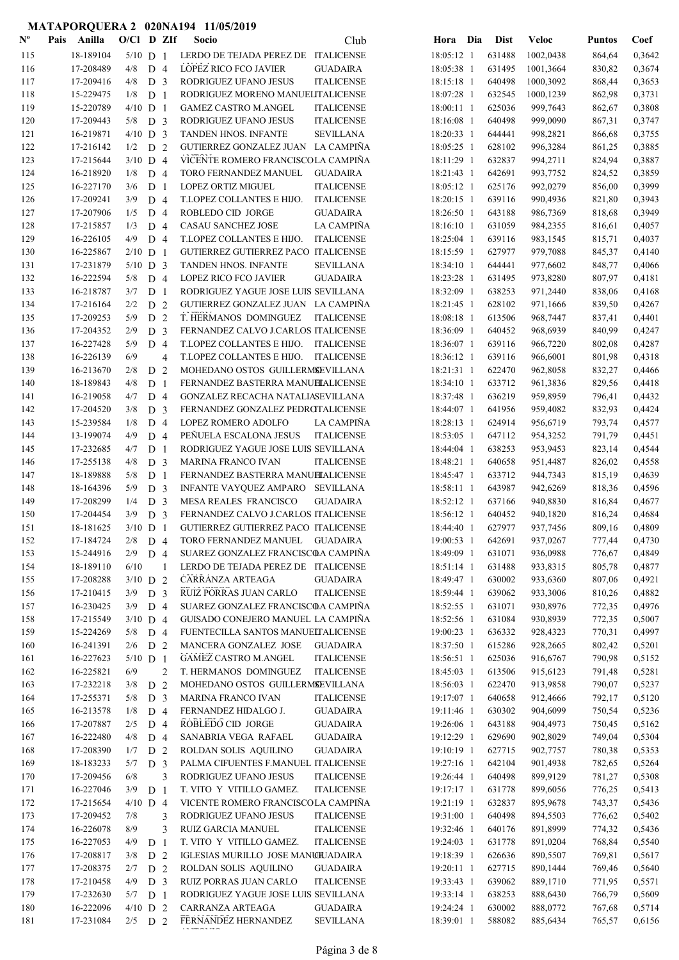| $\mathbf{N}^{\mathbf{o}}$ | Pais | Anilla                 | $O/CI$ D ZIf      |                                  |                | Socio                                                                      | Club                            | Hora Dia                 | <b>Dist</b>      | <b>Veloc</b>         | <b>Puntos</b>    | Coef             |
|---------------------------|------|------------------------|-------------------|----------------------------------|----------------|----------------------------------------------------------------------------|---------------------------------|--------------------------|------------------|----------------------|------------------|------------------|
| 115                       |      | 18-189104              | $5/10$ D 1        |                                  |                | LERDO DE TEJADA PEREZ DE ITALICENSE                                        |                                 | 18:05:12 1               | 631488           | 1002,0438            | 864,64           | 0,3642           |
| 116                       |      | 17-208489              | 4/8               | D <sub>4</sub>                   |                | <b>LOPEZ RICO FCO JAVIER</b>                                               | <b>GUADAIRA</b>                 | 18:05:38 1               | 631495           | 1001,3664            | 830,82           | 0,3674           |
| 117                       |      | 17-209416              | 4/8               | D <sub>3</sub>                   |                | RODRIGUEZ UFANO JESUS                                                      | <b>ITALICENSE</b>               | 18:15:18 1               | 640498           | 1000,3092            | 868,44           | 0,3653           |
| 118                       |      | 15-229475              | 1/8               | D <sub>1</sub>                   |                | RODRIGUEZ MORENO MANUELITALICENSE                                          |                                 | 18:07:28 1               | 632545           | 1000,1239            | 862,98           | 0,3731           |
| 119                       |      | 15-220789              | $4/10$ D 1        |                                  |                | <b>GAMEZ CASTRO M.ANGEL</b>                                                | <b>ITALICENSE</b>               | 18:00:11 1               | 625036           | 999,7643             | 862,67           | 0,3808           |
| 120                       |      | 17-209443              | 5/8               | D <sub>3</sub>                   |                | RODRIGUEZ UFANO JESUS                                                      | <b>ITALICENSE</b>               | 18:16:08 1               | 640498           | 999,0090             | 867,31           | 0,3747           |
| 121                       |      | 16-219871              | $4/10$ D 3        |                                  |                | TANDEN HNOS. INFANTE                                                       | <b>SEVILLANA</b>                | 18:20:33 1               | 644441           | 998,2821             | 866,68           | 0,3755           |
| 122                       |      | 17-216142              | $1/2$ D 2         |                                  |                | GUTIERREZ GONZALEZ JUAN LA CAMPIÑA                                         |                                 | 18:05:25 1               | 628102           | 996,3284             | 861,25           | 0,3885           |
| 123                       |      | 17-215644              | $3/10$ D 4        |                                  |                | VICENTE ROMERO FRANCISCOLA CAMPIÑA                                         |                                 | 18:11:29 1               | 632837           | 994,2711             | 824,94           | 0,3887           |
| 124                       |      | 16-218920              | 1/8               | D 4                              |                | TORO FERNANDEZ MANUEL                                                      | <b>GUADAIRA</b>                 | 18:21:43 1               | 642691           | 993,7752             | 824,52           | 0,3859           |
| 125                       |      | 16-227170              | 3/6               | D <sub>1</sub>                   |                | LOPEZ ORTIZ MIGUEL                                                         | <b>ITALICENSE</b>               | 18:05:12 1               | 625176           | 992,0279             | 856,00           | 0,3999           |
| 126                       |      | 17-209241              | 3/9               | D <sub>4</sub>                   |                | T.LOPEZ COLLANTES E HIJO.                                                  | <b>ITALICENSE</b>               | 18:20:15 1               | 639116           | 990,4936             | 821,80           | 0,3943           |
| 127                       |      | 17-207906              | 1/5               | D 4                              |                | ROBLEDO CID JORGE                                                          | <b>GUADAIRA</b>                 | 18:26:50 1               | 643188           | 986,7369             | 818,68           | 0,3949           |
| 128<br>129                |      | 17-215857<br>16-226105 | 1/3<br>4/9        | D <sub>4</sub><br>D <sub>4</sub> |                | CASAU SANCHEZ JOSE<br>T.LOPEZ COLLANTES E HIJO.                            | LA CAMPIÑA<br><b>ITALICENSE</b> | 18:16:10 1<br>18:25:04 1 | 631059<br>639116 | 984,2355<br>983,1545 | 816,61<br>815,71 | 0,4057<br>0,4037 |
| 130                       |      | 16-225867              | $2/10$ D 1        |                                  |                | GUTIERREZ GUTIERREZ PACO ITALICENSE                                        |                                 | 18:15:59 1               | 627977           | 979,7088             | 845,37           | 0,4140           |
| 131                       |      | 17-231879              | $5/10$ D 3        |                                  |                | TANDEN HNOS. INFANTE                                                       | <b>SEVILLANA</b>                | 18:34:10 1               | 644441           | 977,6602             | 848,77           | 0,4066           |
| 132                       |      | 16-222594              | 5/8               | D <sub>4</sub>                   |                | LOPEZ RICO FCO JAVIER                                                      | <b>GUADAIRA</b>                 | 18:23:28 1               | 631495           | 973,8280             | 807,97           | 0,4181           |
| 133                       |      | 16-218787              | 3/7               | D <sub>1</sub>                   |                | RODRIGUEZ YAGUE JOSE LUIS SEVILLANA                                        |                                 | 18:32:09 1               | 638253           | 971,2440             | 838,06           | 0,4168           |
| 134                       |      | 17-216164              | 2/2               | D <sub>2</sub>                   |                | GUTIERREZ GONZALEZ JUAN LA CAMPIÑA                                         |                                 | 18:21:45 1               | 628102           | 971,1666             | 839,50           | 0,4267           |
| 135                       |      | 17-209253              | 5/9               | D <sub>2</sub>                   |                | T. HERMANOS DOMINGUEZ                                                      | <b>ITALICENSE</b>               | 18:08:18 1               | 613506           | 968,7447             | 837,41           | 0,4401           |
| 136                       |      | 17-204352              | 2/9               | D <sub>3</sub>                   |                | FERNANDEZ CALVO J.CARLOS ITALICENSE                                        |                                 | 18:36:09 1               | 640452           | 968,6939             | 840,99           | 0,4247           |
| 137                       |      | 16-227428              | 5/9               | D <sub>4</sub>                   |                | T.LOPEZ COLLANTES E HIJO.                                                  | <b>ITALICENSE</b>               | 18:36:07 1               | 639116           | 966,7220             | 802,08           | 0,4287           |
| 138                       |      | 16-226139              | 6/9               |                                  | $\overline{4}$ | T.LOPEZ COLLANTES E HIJO.                                                  | <b>ITALICENSE</b>               | 18:36:12 1               | 639116           | 966,6001             | 801,98           | 0,4318           |
| 139                       |      | 16-213670              | 2/8               | D <sub>2</sub>                   |                | MOHEDANO OSTOS GUILLERMSEVILLANA                                           |                                 | 18:21:31 1               | 622470           | 962,8058             | 832,27           | 0,4466           |
| 140                       |      | 18-189843              | 4/8               | D <sub>1</sub>                   |                | FERNANDEZ BASTERRA MANUELALICENSE                                          |                                 | 18:34:10 1               | 633712           | 961,3836             | 829,56           | 0,4418           |
| 141                       |      | 16-219058              | 4/7               | D <sub>4</sub>                   |                | GONZALEZ RECACHA NATALIASEVILLANA                                          |                                 | 18:37:48 1               | 636219           | 959,8959             | 796,41           | 0,4432           |
| 142                       |      | 17-204520              | 3/8               | D <sub>3</sub>                   |                | FERNANDEZ GONZALEZ PEDROTALICENSE                                          |                                 | 18:44:07 1               | 641956           | 959,4082             | 832,93           | 0,4424           |
| 143                       |      | 15-239584              | 1/8               | D <sub>4</sub>                   |                | LOPEZ ROMERO ADOLFO                                                        | LA CAMPIÑA                      | 18:28:13 1               | 624914           | 956,6719             | 793,74           | 0,4577           |
| 144                       |      | 13-199074              | 4/9               | D <sub>4</sub>                   |                | PEÑUELA ESCALONA JESUS                                                     | <b>ITALICENSE</b>               | 18:53:05 1               | 647112           | 954,3252             | 791,79           | 0,4451           |
| 145                       |      | 17-232685              | 4/7               | D <sub>1</sub>                   |                | RODRIGUEZ YAGUE JOSE LUIS SEVILLANA                                        |                                 | 18:44:04 1               | 638253           | 953,9453             | 823,14           | 0,4544           |
| 146                       |      | 17-255138              | 4/8               | D <sub>3</sub>                   |                | <b>MARINA FRANCO IVAN</b>                                                  | <b>ITALICENSE</b>               | 18:48:21 1               | 640658           | 951,4487             | 826,02           | 0,4558           |
| 147                       |      | 18-189888              | 5/8               | D <sub>1</sub>                   |                | FERNANDEZ BASTERRA MANUELALICENSE                                          |                                 | 18:45:47 1               | 633712           | 944,7343             | 815,19           | 0,4639           |
| 148                       |      | 18-164396              | 5/9               | D <sub>3</sub>                   |                | INFANTE VAYQUEZ AMPARO SEVILLANA                                           |                                 | 18:58:11 1               | 643987           | 942,6269             | 818,36           | 0,4596           |
| 149                       |      | 17-208299              | 1/4               | D <sub>3</sub>                   |                | MESA REALES FRANCISCO                                                      | <b>GUADAIRA</b>                 | 18:52:12 1               | 637166           | 940,8830             | 816,84           | 0,4677           |
| 150<br>151                |      | 17-204454<br>18-181625 | 3/9<br>$3/10$ D 1 | D <sub>3</sub>                   |                | FERNANDEZ CALVO J.CARLOS ITALICENSE<br>GUTIERREZ GUTIERREZ PACO ITALICENSE |                                 | 18:56:12 1<br>18:44:40 1 | 640452<br>627977 | 940,1820<br>937,7456 | 816,24<br>809,16 | 0,4684<br>0,4809 |
| 152                       |      | 17-184724              | $2/8$ D 4         |                                  |                | TORO FERNANDEZ MANUEL GUADAIRA                                             |                                 | 19:00:53 1               | 642691           | 937,0267             | 777,44           | 0,4730           |
| 153                       |      | 15-244916              | $2/9$ D 4         |                                  |                | SUAREZ GONZALEZ FRANCISCOA CAMPIÑA                                         |                                 | 18:49:09 1               | 631071           | 936,0988             | 776,67           | 0,4849           |
| 154                       |      | 18-189110              | 6/10              |                                  | $\mathbf{1}$   | LERDO DE TEJADA PEREZ DE ITALICENSE                                        |                                 | $18:51:14$ 1             | 631488           | 933,8315             | 805,78           | 0,4877           |
| 155                       |      | 17-208288              | $3/10$ D 2        |                                  |                | CARRANZA ARTEAGA                                                           | <b>GUADAIRA</b>                 | 18:49:47 1               | 630002           | 933,6360             | 807,06           | 0,4921           |
| 156                       |      | 17-210415              | $3/9$ D 3         |                                  |                | RUIZ PORRAS JUAN CARLO                                                     | <b>ITALICENSE</b>               | 18:59:44 1               | 639062           | 933,3006             | 810,26           | 0,4882           |
| 157                       |      | 16-230425              | $3/9$ D 4         |                                  |                | SUAREZ GONZALEZ FRANCISCOA CAMPIÑA                                         |                                 | 18:52:55 1               | 631071           | 930,8976             | 772,35           | 0,4976           |
| 158                       |      | 17-215549              | $3/10$ D 4        |                                  |                | GUISADO CONEJERO MANUEL LA CAMPIÑA                                         |                                 | 18:52:56 1               | 631084           | 930,8939             | 772,35           | 0,5007           |
| 159                       |      | 15-224269              | $5/8$ D 4         |                                  |                | FUENTECILLA SANTOS MANUELTALICENSE                                         |                                 | 19:00:23 1               | 636332           | 928,4323             | 770,31           | 0,4997           |
| 160                       |      | 16-241391              | $2/6$ D 2         |                                  |                | MANCERA GONZALEZ JOSE                                                      | <b>GUADAIRA</b>                 | 18:37:50 1               | 615286           | 928,2665             | 802,42           | 0,5201           |
| 161                       |      | 16-227623              | $5/10$ D 1        |                                  |                | <b>GAMEZ CASTRO M.ANGEL</b>                                                | <b>ITALICENSE</b>               | 18:56:51 1               | 625036           | 916,6767             | 790,98           | 0,5152           |
| 162                       |      | 16-225821              | 6/9               |                                  | $\overline{2}$ | T. HERMANOS DOMINGUEZ                                                      | <b>ITALICENSE</b>               | 18:45:03 1               | 613506           | 915,6123             | 791,48           | 0,5281           |
| 163                       |      | 17-232218              | 3/8               | D <sub>2</sub>                   |                | MOHEDANO OSTOS GUILLERMSEVILLANA                                           |                                 | 18:56:03 1               | 622470           | 913,9858             | 790,07           | 0,5237           |
| 164                       |      | 17-255371              | 5/8               | D <sub>3</sub>                   |                | <b>MARINA FRANCO IVAN</b>                                                  | <b>ITALICENSE</b>               | 19:17:07 1               | 640658           | 912,4666             | 792,17           | 0,5120           |
| 165                       |      | 16-213578              | 1/8               | D <sub>4</sub>                   |                | FERNANDEZ HIDALGO J.                                                       | <b>GUADAIRA</b>                 | 19:11:46 1               | 630302           | 904,6099             | 750,54           | 0,5236           |
| 166                       |      | 17-207887              | 2/5               | D <sub>4</sub>                   |                | ROBLEDO CID JORGE                                                          | <b>GUADAIRA</b>                 | 19:26:06 1               | 643188           | 904,4973             | 750,45           | 0,5162           |
| 167                       |      | 16-222480              | 4/8               | D <sub>4</sub>                   |                | SANABRIA VEGA RAFAEL                                                       | <b>GUADAIRA</b>                 | 19:12:29 1               | 629690           | 902,8029             | 749,04           | 0,5304           |
| 168                       |      | 17-208390              | 1/7               | D <sub>2</sub>                   |                | ROLDAN SOLIS AQUILINO                                                      | <b>GUADAIRA</b>                 | 19:10:19 1               | 627715           | 902,7757             | 780,38           | 0,5353           |
| 169<br>170                |      | 18-183233<br>17-209456 | 5/7<br>6/8        | D <sub>3</sub>                   | 3              | PALMA CIFUENTES F.MANUEL ITALICENSE<br>RODRIGUEZ UFANO JESUS               | <b>ITALICENSE</b>               | 19:27:16 1<br>19:26:44 1 | 642104<br>640498 | 901,4938<br>899,9129 | 782,65<br>781,27 | 0,5264<br>0,5308 |
| 171                       |      | 16-227046              | 3/9               | D <sub>1</sub>                   |                | T. VITO Y VITILLO GAMEZ.                                                   | <b>ITALICENSE</b>               | $19:17:17$ 1             | 631778           | 899,6056             | 776,25           | 0,5413           |
| 172                       |      | 17-215654              | $4/10$ D 4        |                                  |                | VICENTE ROMERO FRANCISCOLA CAMPIÑA                                         |                                 | 19:21:19 1               | 632837           | 895,9678             | 743,37           | 0,5436           |
| 173                       |      | 17-209452              | 7/8               |                                  | 3              | RODRIGUEZ UFANO JESUS                                                      | <b>ITALICENSE</b>               | 19:31:00 1               | 640498           | 894,5503             | 776,62           | 0,5402           |
| 174                       |      | 16-226078              | 8/9               |                                  | 3              | RUIZ GARCIA MANUEL                                                         | <b>ITALICENSE</b>               | 19:32:46 1               | 640176           | 891,8999             | 774,32           | 0,5436           |
| 175                       |      | 16-227053              | 4/9               | D <sub>1</sub>                   |                | T. VITO Y VITILLO GAMEZ.                                                   | <b>ITALICENSE</b>               | 19:24:03 1               | 631778           | 891,0204             | 768,84           | 0,5540           |
| 176                       |      | 17-208817              | 3/8               | D <sub>2</sub>                   |                | IGLESIAS MURILLO JOSE MANCIUADAIRA                                         |                                 | 19:18:39 1               | 626636           | 890,5507             | 769,81           | 0,5617           |
| 177                       |      | 17-208375              | $2/7$ D 2         |                                  |                | ROLDAN SOLIS AQUILINO                                                      | <b>GUADAIRA</b>                 | 19:20:11 1               | 627715           | 890,1444             | 769,46           | 0,5640           |
| 178                       |      | 17-210458              | 4/9               | D 3                              |                | RUIZ PORRAS JUAN CARLO                                                     | <b>ITALICENSE</b>               | 19:33:43 1               | 639062           | 889,1710             | 771,95           | 0,5571           |
| 179                       |      | 17-232630              | $5/7$ D 1         |                                  |                | RODRIGUEZ YAGUE JOSE LUIS SEVILLANA                                        |                                 | 19:33:14 1               | 638253           | 888,6430             | 766,79           | 0,5609           |
| 180                       |      | 16-222096              | $4/10$ D 2        |                                  |                | CARRANZA ARTEAGA                                                           | <b>GUADAIRA</b>                 | 19:24:24 1               | 630002           | 888,0772             | 767,68           | 0,5714           |
| 181                       |      | 17-231084              | $2/5$ D $2$       |                                  |                | FERNANDEZ HERNANDEZ                                                        | <b>SEVILLANA</b>                | 18:39:01 1               | 588082           | 885,6434             | 765,57           | 0,6156           |

ANTONIO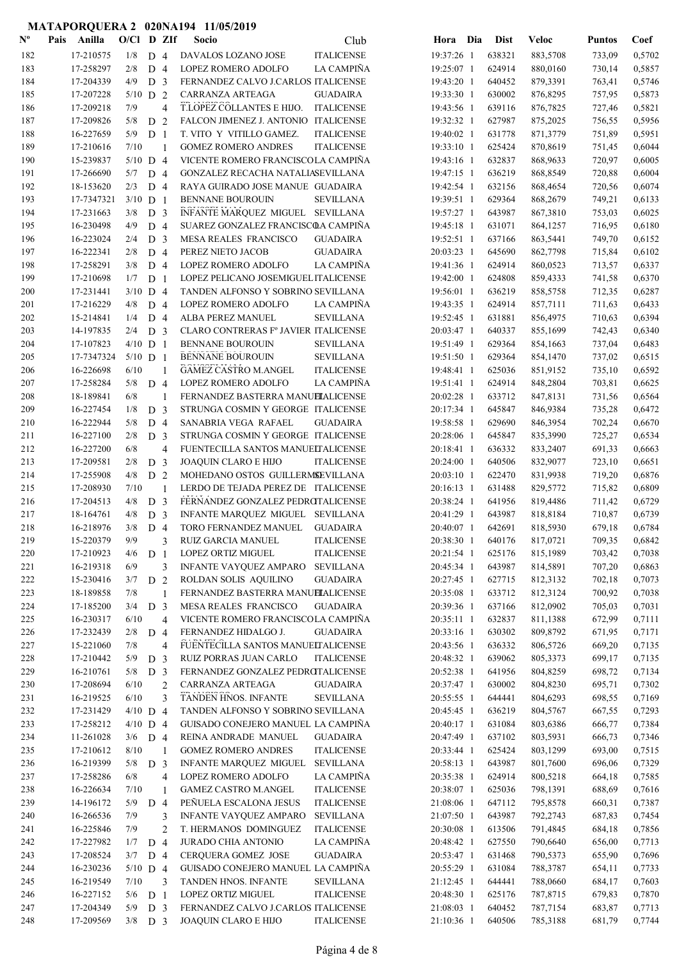| ${\bf N^o}$ | Pais | Anilla     | $O/CI$ D ZIf |                |                | Socio                                | Club              | Hora Dia   | <b>Dist</b> | <b>Veloc</b> | <b>Puntos</b> | Coef   |
|-------------|------|------------|--------------|----------------|----------------|--------------------------------------|-------------------|------------|-------------|--------------|---------------|--------|
| 182         |      | 17-210575  | 1/8          | D <sub>4</sub> |                | DAVALOS LOZANO JOSE                  | <b>ITALICENSE</b> | 19:37:26 1 | 638321      | 883,5708     | 733,09        | 0,5702 |
| 183         |      | 17-258297  | 2/8          | D <sub>4</sub> |                | LOPEZ ROMERO ADOLFO                  | LA CAMPIÑA        | 19:25:07 1 | 624914      | 880,0160     | 730,14        | 0,5857 |
| 184         |      | 17-204339  | 4/9          | D <sub>3</sub> |                | FERNANDEZ CALVO J.CARLOS ITALICENSE  |                   | 19:43:20 1 | 640452      | 879,3391     | 763,41        | 0,5746 |
| 185         |      | 17-207228  | $5/10$ D 2   |                |                | CARRANZA ARTEAGA                     | <b>GUADAIRA</b>   | 19:33:30 1 | 630002      | 876,8295     | 757,95        | 0,5873 |
| 186         |      | 17-209218  | 7/9          |                | $\overline{4}$ | T.LOPEZ COLLANTES E HIJO.            | <b>ITALICENSE</b> | 19:43:56 1 | 639116      | 876,7825     | 727,46        | 0,5821 |
| 187         |      | 17-209826  | 5/8          | D <sub>2</sub> |                | FALCON JIMENEZ J. ANTONIO ITALICENSE |                   | 19:32:32 1 | 627987      | 875,2025     | 756,55        | 0,5956 |
| 188         |      | 16-227659  | 5/9          | D <sub>1</sub> |                | T. VITO Y VITILLO GAMEZ.             | <b>ITALICENSE</b> | 19:40:02 1 | 631778      | 871,3779     | 751,89        | 0,5951 |
| 189         |      | 17-210616  | 7/10         |                | 1              | <b>GOMEZ ROMERO ANDRES</b>           | <b>ITALICENSE</b> | 19:33:10 1 | 625424      | 870,8619     | 751,45        | 0,6044 |
| 190         |      | 15-239837  | $5/10$ D 4   |                |                | VICENTE ROMERO FRANCISCOLA CAMPIÑA   |                   | 19:43:16 1 | 632837      | 868,9633     | 720,97        | 0,6005 |
| 191         |      | 17-266690  | 5/7          | D <sub>4</sub> |                | GONZALEZ RECACHA NATALIASEVILLANA    |                   | 19:47:15 1 | 636219      | 868,8549     | 720,88        | 0,6004 |
| 192         |      | 18-153620  | 2/3          | D <sub>4</sub> |                | RAYA GUIRADO JOSE MANUE GUADAIRA     |                   | 19:42:54 1 | 632156      | 868,4654     | 720,56        | 0,6074 |
| 193         |      | 17-7347321 | $3/10$ D 1   |                |                | <b>BENNANE BOUROUIN</b>              | <b>SEVILLANA</b>  | 19:39:51 1 | 629364      | 868,2679     | 749,21        | 0,6133 |
| 194         |      | 17-231663  | 3/8          | D <sub>3</sub> |                | INFANTE MARQUEZ MIGUEL SEVILLANA     |                   | 19:57:27 1 | 643987      | 867,3810     | 753,03        | 0,6025 |
| 195         |      | 16-230498  | 4/9          | D <sub>4</sub> |                | SUAREZ GONZALEZ FRANCISCOA CAMPIÑA   |                   | 19:45:18 1 | 631071      | 864,1257     | 716,95        | 0,6180 |
| 196         |      | 16-223024  | 2/4          | D <sub>3</sub> |                | MESA REALES FRANCISCO                | <b>GUADAIRA</b>   | 19:52:51 1 | 637166      | 863,5441     | 749,70        | 0,6152 |
| 197         |      | 16-222341  | 2/8          | D <sub>4</sub> |                | PEREZ NIETO JACOB                    | <b>GUADAIRA</b>   | 20:03:23 1 | 645690      | 862,7798     | 715,84        | 0,6102 |
| 198         |      | 17-258291  | 3/8          | D <sub>4</sub> |                | LOPEZ ROMERO ADOLFO                  | <b>LA CAMPIÑA</b> | 19:41:36 1 | 624914      | 860,0523     | 713,57        | 0,6337 |
| 199         |      | 17-210698  | 1/7          | D <sub>1</sub> |                | LOPEZ PELICANO JOSEMIGUEL ITALICENSE |                   | 19:42:00 1 | 624808      | 859,4333     | 741,58        | 0,6370 |
| 200         |      | 17-231441  | $3/10$ D 4   |                |                | TANDEN ALFONSO Y SOBRINO SEVILLANA   |                   | 19:56:01 1 | 636219      | 858,5758     | 712,35        | 0,6287 |
| 201         |      | 17-216229  | 4/8          | D <sub>4</sub> |                | LOPEZ ROMERO ADOLFO                  | LA CAMPIÑA        | 19:43:35 1 | 624914      | 857,7111     | 711,63        | 0,6433 |
| 202         |      | 15-214841  | 1/4          | D <sub>4</sub> |                | ALBA PEREZ MANUEL                    | <b>SEVILLANA</b>  | 19:52:45 1 | 631881      | 856,4975     | 710,63        | 0,6394 |
| 203         |      | 14-197835  | 2/4          | D <sub>3</sub> |                | CLARO CONTRERAS Fº JAVIER ITALICENSE |                   | 20:03:47 1 | 640337      | 855,1699     | 742,43        | 0,6340 |
| 204         |      | 17-107823  | $4/10$ D 1   |                |                | <b>BENNANE BOUROUIN</b>              | <b>SEVILLANA</b>  | 19:51:49 1 | 629364      | 854,1663     | 737,04        | 0,6483 |
| 205         |      | 17-7347324 | $5/10$ D 1   |                |                | <b>BENNANE BOUROUIN</b>              | <b>SEVILLANA</b>  | 19:51:50 1 | 629364      | 854,1470     | 737,02        | 0,6515 |
| 206         |      | 16-226698  | 6/10         |                | $\mathbf{1}$   | <b>GAMEZ CASTRO M.ANGEL</b>          | <b>ITALICENSE</b> | 19:48:41 1 | 625036      | 851,9152     | 735,10        | 0,6592 |
| 207         |      | 17-258284  | 5/8          | D <sub>4</sub> |                | LOPEZ ROMERO ADOLFO                  | LA CAMPIÑA        | 19:51:41 1 | 624914      | 848,2804     | 703,81        | 0,6625 |
| 208         |      | 18-189841  | 6/8          |                | -1             | FERNANDEZ BASTERRA MANUELALICENSE    |                   | 20:02:28 1 | 633712      | 847,8131     | 731,56        | 0,6564 |
| 209         |      | 16-227454  | 1/8          | D <sub>3</sub> |                | STRUNGA COSMIN Y GEORGE ITALICENSE   |                   | 20:17:34 1 | 645847      | 846,9384     | 735,28        | 0,6472 |
| 210         |      | 16-222944  | 5/8          | D <sub>4</sub> |                | SANABRIA VEGA RAFAEL                 | <b>GUADAIRA</b>   | 19:58:58 1 | 629690      | 846,3954     | 702,24        | 0,6670 |
| 211         |      | 16-227100  | 2/8          | D <sub>3</sub> |                | STRUNGA COSMIN Y GEORGE ITALICENSE   |                   | 20:28:06 1 | 645847      | 835,3990     | 725,27        | 0,6534 |
| 212         |      | 16-227200  | 6/8          |                | $\overline{4}$ | FUENTECILLA SANTOS MANUELTALICENSE   |                   | 20:18:41 1 | 636332      | 833,2407     | 691,33        | 0,6663 |
| 213         |      | 17-209581  | 2/8          | D <sub>3</sub> |                | <b>JOAQUIN CLARO E HIJO</b>          | <b>ITALICENSE</b> | 20:24:00 1 | 640506      | 832,9077     | 723,10        | 0,6651 |
| 214         |      | 17-255908  | 4/8          | D <sub>2</sub> |                | MOHEDANO OSTOS GUILLERMSEVILLANA     |                   | 20:03:10 1 | 622470      | 831,9938     | 719,20        | 0,6876 |
| 215         |      | 17-208930  | 7/10         |                | 1              | LERDO DE TEJADA PEREZ DE ITALICENSE  |                   | 20:16:13 1 | 631488      | 829,5772     | 715,82        | 0,6809 |
| 216         |      | 17-204513  | 4/8          | D <sub>3</sub> |                | FERNANDEZ GONZALEZ PEDROTALICENSE    |                   | 20:38:24 1 | 641956      | 819,4486     | 711,42        | 0,6729 |
| 217         |      | 18-164761  | 4/8          | D <sub>3</sub> |                | INFANTE MARQUEZ MIGUEL SEVILLANA     |                   | 20:41:29 1 | 643987      | 818,8184     | 710,87        | 0,6739 |
| 218         |      | 16-218976  | 3/8          | D <sub>4</sub> |                | TORO FERNANDEZ MANUEL                | <b>GUADAIRA</b>   | 20:40:07 1 | 642691      | 818,5930     | 679,18        | 0,6784 |
| 219         |      | 15-220379  | 9/9          |                | 3              | <b>RUIZ GARCIA MANUEL</b>            | <b>ITALICENSE</b> | 20:38:30 1 | 640176      | 817,0721     | 709,35        | 0,6842 |
| 220         |      | 17-210923  | 4/6          | D <sub>1</sub> |                | LOPEZ ORTIZ MIGUEL                   | <b>ITALICENSE</b> | 20:21:54 1 | 625176      | 815,1989     | 703,42        | 0,7038 |
| 221         |      | 16-219318  | 6/9          |                | 3              | INFANTE VAYQUEZ AMPARO               | <b>SEVILLANA</b>  | 20:45:34 1 | 643987      | 814,5891     | 707,20        | 0,6863 |
| 222         |      | 15-230416  | 3/7          | D <sub>2</sub> |                | ROLDAN SOLIS AQUILINO                | <b>GUADAIRA</b>   | 20:27:45 1 | 627715      | 812,3132     | 702,18        | 0,7073 |
| 223         |      | 18-189858  | 7/8          |                | 1              | FERNANDEZ BASTERRA MANUELALICENSE    |                   | 20:35:08 1 | 633712      | 812,3124     | 700,92        | 0,7038 |
| 224         |      | 17-185200  | 3/4          | D <sub>3</sub> |                | MESA REALES FRANCISCO                | <b>GUADAIRA</b>   | 20:39:36 1 | 637166      | 812,0902     | 705,03        | 0,7031 |
| 225         |      | 16-230317  | 6/10         |                | $\overline{4}$ | VICENTE ROMERO FRANCISCOLA CAMPIÑA   |                   | 20:35:11 1 | 632837      | 811,1388     | 672,99        | 0,7111 |
| 226         |      | 17-232439  | 2/8          | D <sub>4</sub> |                | FERNANDEZ HIDALGO J.                 | <b>GUADAIRA</b>   | 20:33:16 1 | 630302      | 809,8792     | 671,95        | 0,7171 |
| 227         |      | 15-221060  | 7/8          |                | $\overline{4}$ | FUENTECILLA SANTOS MANUELTALICENSE   |                   | 20:43:56 1 | 636332      | 806,5726     | 669,20        | 0,7135 |
| 228         |      | 17-210442  | 5/9          | D <sub>3</sub> |                | RUIZ PORRAS JUAN CARLO               | <b>ITALICENSE</b> | 20:48:32 1 | 639062      | 805,3373     | 699,17        | 0,7135 |
| 229         |      | 16-210761  | $5/8$ D 3    |                |                | FERNANDEZ GONZALEZ PEDROTALICENSE    |                   | 20:52:38 1 | 641956      | 804,8259     | 698,72        | 0,7134 |
| 230         |      | 17-208694  | 6/10         |                | $\overline{2}$ | CARRANZA ARTEAGA                     | <b>GUADAIRA</b>   | 20:37:47 1 | 630002      | 804,8230     | 695,71        | 0,7302 |
| 231         |      | 16-219525  | 6/10         |                | 3              | TANDEN HNOS. INFANTE                 | <b>SEVILLANA</b>  | 20:55:55 1 | 644441      | 804,6293     | 698,55        | 0,7169 |
| 232         |      | 17-231429  | $4/10$ D 4   |                |                | TANDEN ALFONSO Y SOBRINO SEVILLANA   |                   | 20:45:45 1 | 636219      | 804,5767     | 667,55        | 0,7293 |
| 233         |      | 17-258212  | $4/10$ D 4   |                |                | GUISADO CONEJERO MANUEL LA CAMPIÑA   |                   | 20:40:17 1 | 631084      | 803,6386     | 666,77        | 0,7384 |
| 234         |      | 11-261028  | $3/6$ D 4    |                |                | REINA ANDRADE MANUEL                 | <b>GUADAIRA</b>   | 20:47:49 1 | 637102      | 803,5931     | 666,73        | 0,7346 |
| 235         |      | 17-210612  | 8/10         |                | 1              | <b>GOMEZ ROMERO ANDRES</b>           | <b>ITALICENSE</b> | 20:33:44 1 | 625424      | 803,1299     | 693,00        | 0,7515 |
| 236         |      | 16-219399  | $5/8$ D $3$  |                |                | INFANTE MARQUEZ MIGUEL               | <b>SEVILLANA</b>  | 20:58:13 1 | 643987      | 801,7600     | 696,06        | 0,7329 |
| 237         |      | 17-258286  | 6/8          |                | $\overline{4}$ | LOPEZ ROMERO ADOLFO                  | LA CAMPIÑA        | 20:35:38 1 | 624914      | 800,5218     | 664,18        | 0,7585 |
| 238         |      | 16-226634  | 7/10         |                | 1              | GAMEZ CASTRO M.ANGEL                 | <b>ITALICENSE</b> | 20:38:07 1 | 625036      | 798,1391     | 688,69        | 0,7616 |
| 239         |      | 14-196172  | 5/9          | $D_4$          |                | PEÑUELA ESCALONA JESUS               | <b>ITALICENSE</b> | 21:08:06 1 | 647112      | 795,8578     | 660,31        | 0,7387 |
| 240         |      | 16-266536  | 7/9          |                | 3              | INFANTE VAYQUEZ AMPARO               | <b>SEVILLANA</b>  | 21:07:50 1 | 643987      | 792,2743     | 687,83        | 0,7454 |
| 241         |      | 16-225846  | 7/9          |                | $\overline{c}$ | T. HERMANOS DOMINGUEZ                | <b>ITALICENSE</b> | 20:30:08 1 | 613506      | 791,4845     | 684,18        | 0,7856 |
| 242         |      | 17-227982  | 1/7          | D <sub>4</sub> |                | JURADO CHIA ANTONIO                  | LA CAMPIÑA        | 20:48:42 1 | 627550      | 790,6640     | 656,00        | 0,7713 |
| 243         |      | 17-208524  | 3/7          | D <sub>4</sub> |                | CERQUERA GOMEZ JOSE                  | <b>GUADAIRA</b>   | 20:53:47 1 | 631468      | 790,5373     | 655,90        | 0,7696 |
| 244         |      | 16-230236  | $5/10$ D 4   |                |                | GUISADO CONEJERO MANUEL LA CAMPIÑA   |                   | 20:55:29 1 | 631084      | 788,3787     | 654,11        | 0,7733 |
| 245         |      | 16-219549  | 7/10         |                | 3              | TANDEN HNOS. INFANTE                 | <b>SEVILLANA</b>  | 21:12:45 1 | 644441      | 788,0660     | 684,17        | 0,7603 |
| 246         |      | 16-227152  | 5/6          | D <sub>1</sub> |                | LOPEZ ORTIZ MIGUEL                   | <b>ITALICENSE</b> | 20:48:30 1 | 625176      | 787,8715     | 679,83        | 0,7870 |
| 247         |      | 17-204349  | 5/9          | D <sub>3</sub> |                | FERNANDEZ CALVO J.CARLOS ITALICENSE  |                   | 21:08:03 1 | 640452      | 787,7154     | 683,87        | 0,7713 |
| 248         |      | 17-209569  | $3/8$ D 3    |                |                | JOAQUIN CLARO E HIJO                 | <b>ITALICENSE</b> | 21:10:36 1 | 640506      | 785,3188     | 681,79        | 0,7744 |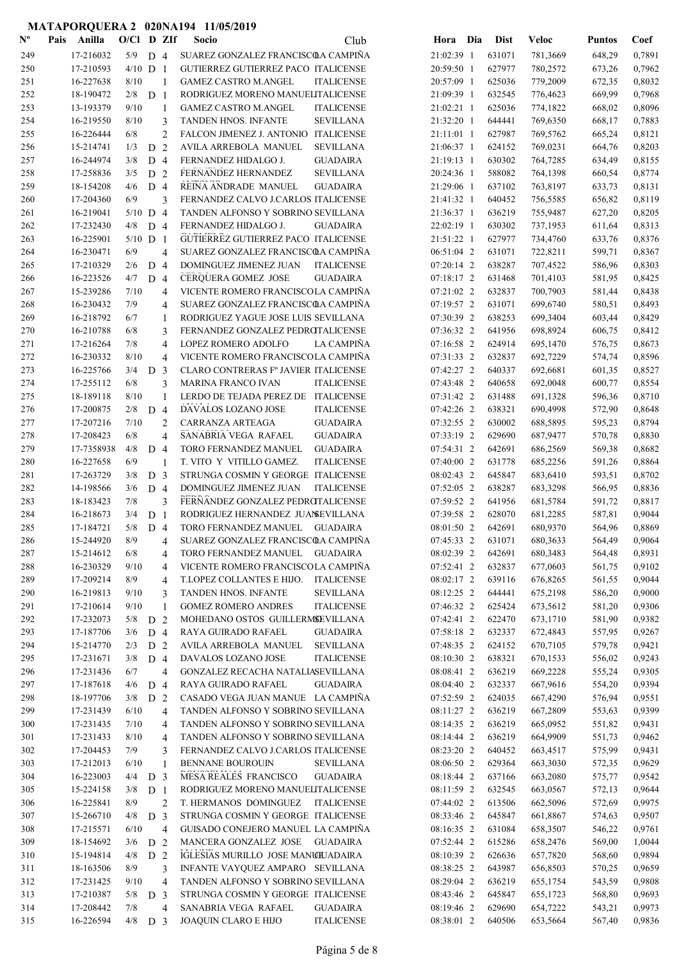| $\mathbf{N}^{\mathbf{o}}$ | Pais | Anilla                 | $O/Cl$ D ZIf |                                  |                                  | Socio                                                                      | Club                                | Hora                       | Dia | <b>Dist</b>      | <b>Veloc</b>         | <b>Puntos</b>    | Coef             |
|---------------------------|------|------------------------|--------------|----------------------------------|----------------------------------|----------------------------------------------------------------------------|-------------------------------------|----------------------------|-----|------------------|----------------------|------------------|------------------|
| 249                       |      | 17-216032              | 5/9          | D <sub>4</sub>                   |                                  | SUAREZ GONZALEZ FRANCISCOA CAMPIÑA                                         |                                     | 21:02:39 1                 |     | 631071           | 781,3669             | 648,29           | 0,7891           |
| 250                       |      | 17-210593              | $4/10$ D 1   |                                  |                                  | GUTIERREZ GUTIERREZ PACO ITALICENSE                                        |                                     | 20:59:50 1                 |     | 627977           | 780,2572             | 673,26           | 0,7962           |
| 251                       |      | 16-227638              | 8/10         |                                  | -1                               | <b>GAMEZ CASTRO M.ANGEL</b>                                                | <b>ITALICENSE</b>                   | 20:57:09 1                 |     | 625036           | 779,2009             | 672,35           | 0,8032           |
| 252                       |      | 18-190472              | 2/8          | D <sub>1</sub>                   |                                  | RODRIGUEZ MORENO MANUELITALICENSE                                          |                                     | 21:09:39 1                 |     | 632545           | 776,4623             | 669,99           | 0,7968           |
| 253                       |      | 13-193379              | 9/10         |                                  | $\overline{1}$                   | <b>GAMEZ CASTRO M.ANGEL</b>                                                | <b>ITALICENSE</b>                   | 21:02:21 1                 |     | 625036           | 774,1822             | 668,02           | 0,8096           |
| 254                       |      | 16-219550              | 8/10         |                                  | 3                                | TANDEN HNOS. INFANTE                                                       | <b>SEVILLANA</b>                    | 21:32:20 1                 |     | 644441           | 769,6350             | 668,17           | 0,7883           |
| 255                       |      | 16-226444              | 6/8          |                                  | $\overline{2}$                   | FALCON JIMENEZ J. ANTONIO ITALICENSE                                       |                                     | 21:11:01 1                 |     | 627987           | 769,5762             | 665,24           | 0,8121           |
| 256<br>257                |      | 15-214741<br>16-244974 | 1/3<br>3/8   | D                                | 2                                | AVILA ARREBOLA MANUEL<br>FERNANDEZ HIDALGO J.                              | <b>SEVILLANA</b><br><b>GUADAIRA</b> | 21:06:37 1<br>21:19:13 1   |     | 624152<br>630302 | 769,0231<br>764,7285 | 664,76<br>634,49 | 0,8203<br>0,8155 |
| 258                       |      | 17-258836              | 3/5          | D <sub>4</sub><br>D              | 2                                | FERNANDEZ HERNANDEZ                                                        | <b>SEVILLANA</b>                    | 20:24:36 1                 |     | 588082           | 764,1398             | 660,54           | 0,8774           |
| 259                       |      | 18-154208              | 4/6          | D 4                              |                                  | REINA ANDRADE MANUEL                                                       | <b>GUADAIRA</b>                     | 21:29:06 1                 |     | 637102           | 763,8197             | 633,73           | 0,8131           |
| 260                       |      | 17-204360              | 6/9          |                                  | 3                                | FERNANDEZ CALVO J.CARLOS ITALICENSE                                        |                                     | 21:41:32 1                 |     | 640452           | 756,5585             | 656,82           | 0,8119           |
| 261                       |      | 16-219041              | $5/10$ D 4   |                                  |                                  | TANDEN ALFONSO Y SOBRINO SEVILLANA                                         |                                     | 21:36:37 1                 |     | 636219           | 755,9487             | 627,20           | 0,8205           |
| 262                       |      | 17-232430              | 4/8          | D <sub>4</sub>                   |                                  | FERNANDEZ HIDALGO J.                                                       | <b>GUADAIRA</b>                     | 22:02:19 1                 |     | 630302           | 737,1953             | 611,64           | 0,8313           |
| 263                       |      | 16-225901              | $5/10$ D 1   |                                  |                                  | GUTIERREZ GUTIERREZ PACO ITALICENSE                                        |                                     | 21:51:22 1                 |     | 627977           | 734,4760             | 633,76           | 0,8376           |
| 264                       |      | 16-230471              | 6/9          |                                  | $\overline{4}$                   | SUAREZ GONZALEZ FRANCISCOA CAMPIÑA                                         |                                     | 06:51:04 2                 |     | 631071           | 722,8211             | 599,71           | 0,8367           |
| 265                       |      | 17-210329              | 2/6          | D                                | $\overline{4}$                   | DOMINGUEZ JIMENEZ JUAN                                                     | <b>ITALICENSE</b>                   | 07:20:14 2                 |     | 638287           | 707,4522             | 586,96           | 0,8303           |
| 266                       |      | 16-223526              | 4/7          | D <sub>4</sub>                   |                                  | CERQUERA GOMEZ JOSE                                                        | <b>GUADAIRA</b>                     | 07:18:17 2                 |     | 631468           | 701,4103             | 581,95           | 0,8425           |
| 267                       |      | 15-239286              | 7/10         |                                  | $\overline{4}$                   | VICENTE ROMERO FRANCISCOLA CAMPIÑA                                         |                                     | 07:21:02 2                 |     | 632837           | 700,7903             | 581,44           | 0,8438           |
| 268                       |      | 16-230432              | 7/9          |                                  | $\overline{4}$                   | SUAREZ GONZALEZ FRANCISCOA CAMPIÑA                                         |                                     | 07:19:57 2                 |     | 631071           | 699,6740             | 580,51           | 0,8493           |
| 269                       |      | 16-218792              | 6/7          |                                  | 1                                | RODRIGUEZ YAGUE JOSE LUIS SEVILLANA                                        |                                     | 07:30:39 2                 |     | 638253           | 699,3404             | 603,44           | 0,8429           |
| 270                       |      | 16-210788              | 6/8          |                                  | 3                                | FERNANDEZ GONZALEZ PEDROTALICENSE                                          |                                     | 07:36:32 2                 |     | 641956           | 698,8924             | 606,75           | 0,8412           |
| 271                       |      | 17-216264              | 7/8          |                                  | 4                                | LOPEZ ROMERO ADOLFO                                                        | <b>LA CAMPIÑA</b>                   | 07:16:58 2                 |     | 624914           | 695,1470             | 576,75           | 0,8673           |
| 272<br>273                |      | 16-230332<br>16-225766 | 8/10<br>3/4  | D <sub>3</sub>                   | $\overline{4}$                   | VICENTE ROMERO FRANCISCOLA CAMPIÑA<br>CLARO CONTRERAS Fº JAVIER ITALICENSE |                                     | 07:31:33 2<br>07:42:27 2   |     | 632837<br>640337 | 692,7229<br>692,6681 | 574,74<br>601,35 | 0,8596<br>0,8527 |
| 274                       |      | 17-255112              | 6/8          |                                  | 3                                | <b>MARINA FRANCO IVAN</b>                                                  | <b>ITALICENSE</b>                   | 07:43:48 2                 |     | 640658           | 692,0048             | 600,77           | 0,8554           |
| 275                       |      | 18-189118              | 8/10         |                                  | 1                                | LERDO DE TEJADA PEREZ DE ITALICENSE                                        |                                     | 07:31:42 2                 |     | 631488           | 691,1328             | 596,36           | 0,8710           |
| 276                       |      | 17-200875              | 2/8          | D <sub>4</sub>                   |                                  | DAVALOS LOZANO JOSE                                                        | <b>ITALICENSE</b>                   | 07:42:26 2                 |     | 638321           | 690,4998             | 572,90           | 0,8648           |
| 277                       |      | 17-207216              | 7/10         |                                  | $\overline{c}$                   | CARRANZA ARTEAGA                                                           | <b>GUADAIRA</b>                     | 07:32:55 2                 |     | 630002           | 688,5895             | 595,23           | 0,8794           |
| 278                       |      | 17-208423              | 6/8          |                                  | $\overline{4}$                   | SANABRIA VEGA RAFAEL                                                       | <b>GUADAIRA</b>                     | 07:33:19 2                 |     | 629690           | 687,9477             | 570,78           | 0,8830           |
| 279                       |      | 17-7358938             | 4/8          | D                                | $\overline{4}$                   | TORO FERNANDEZ MANUEL                                                      | <b>GUADAIRA</b>                     | 07:54:31 2                 |     | 642691           | 686,2569             | 569,38           | 0,8682           |
| 280                       |      | 16-227658              | 6/9          |                                  | 1                                | T. VITO Y VITILLO GAMEZ.                                                   | <b>ITALICENSE</b>                   | 07:40:00 2                 |     | 631778           | 685,2256             | 591,26           | 0,8864           |
| 281                       |      | 17-263729              | 3/8          | D                                | $\overline{3}$                   | STRUNGA COSMIN Y GEORGE ITALICENSE                                         |                                     | 08:02:43 2                 |     | 645847           | 683,6410             | 593,51           | 0,8702           |
| 282                       |      | 14-198566              | 3/6          | D 4                              |                                  | <b>DOMINGUEZ JIMENEZ JUAN</b>                                              | <b>ITALICENSE</b>                   | 07:52:05 2                 |     | 638287           | 683,3298             | 566,95           | 0,8836           |
| 283                       |      | 18-183423              | 7/8          |                                  | 3                                | FERNANDEZ GONZALEZ PEDROTALICENSE                                          |                                     | 07:59:52 2                 |     | 641956           | 681,5784             | 591,72           | 0,8817           |
| 284                       |      | 16-218673              | 3/4          | D <sub>1</sub>                   |                                  | RODRIGUEZ HERNANDEZ JUANSEVILLANA                                          |                                     | 07:39:58 2                 |     | 628070           | 681,2285             | 587,81           | 0,9044           |
| 285                       |      | 17-184721              | 5/8          | D <sub>4</sub>                   |                                  | TORO FERNANDEZ MANUEL GUADAIRA                                             |                                     | 08:01:50 2                 |     | 642691           | 680,9370             | 564,96           | 0,8869           |
| 286                       |      | 15-244920              | 8/9          |                                  | 4                                | SUAREZ GONZALEZ FRANCISCOA CAMPIÑA                                         |                                     | 07:45:33 2                 |     | 631071           | 680,3633             | 564,49           | 0,9064           |
| 287                       |      | 15-214612              | $6/8$        |                                  | 4                                | TORO FERNANDEZ MANUEL<br>VICENTE ROMERO FRANCISCOLA CAMPIÑA                | <b>GUADAIRA</b>                     | 08:02:39 2                 |     | 642691           | 680,3483             | 564,48           | 0,8931           |
| 288<br>289                |      | 16-230329<br>17-209214 | 9/10<br>8/9  |                                  | $\overline{4}$<br>$\overline{4}$ | T.LOPEZ COLLANTES E HIJO. ITALICENSE                                       |                                     | 07:52:41 2<br>08:02:17 2   |     | 632837<br>639116 | 677,0603<br>676,8265 | 561,75<br>561,55 | 0,9102<br>0,9044 |
| 290                       |      | 16-219813              | 9/10         |                                  | 3                                | TANDEN HNOS. INFANTE                                                       | SEVILLANA                           | 08:12:25 2                 |     | 644441           | 675,2198             | 586,20           | 0,9000           |
| 291                       |      | 17-210614              | 9/10         |                                  | 1                                | <b>GOMEZ ROMERO ANDRES</b>                                                 | <b>ITALICENSE</b>                   | 07:46:32 2                 |     | 625424           | 673,5612             | 581,20           | 0,9306           |
| 292                       |      | 17-232073              | 5/8          | D <sub>2</sub>                   |                                  | MOHEDANO OSTOS GUILLERMSEVILLANA                                           |                                     | 07:42:41 2                 |     | 622470           | 673,1710             | 581,90           | 0,9382           |
| 293                       |      | 17-187706              | 3/6          | D 4                              |                                  | RAYA GUIRADO RAFAEL                                                        | <b>GUADAIRA</b>                     | 07:58:18 2                 |     | 632337           | 672,4843             | 557,95           | 0,9267           |
| 294                       |      | 15-214770              | 2/3          | D <sub>2</sub>                   |                                  | AVILA ARREBOLA MANUEL                                                      | SEVILLANA                           | 07:48:35 2                 |     | 624152           | 670,7105             | 579,78           | 0,9421           |
| 295                       |      | 17-231671              | 3/8          | D 4                              |                                  | DAVALOS LOZANO JOSE                                                        | <b>ITALICENSE</b>                   | 08:10:30 2                 |     | 638321           | 670,1533             | 556,02           | 0,9243           |
| 296                       |      | 17-231436              | 6/7          |                                  | $\overline{4}$                   | GONZALEZ RECACHA NATALIASEVILLANA                                          |                                     | 08:08:41 2                 |     | 636219           | 669,2228             | 555,24           | 0,9305           |
| 297                       |      | 17-187618              | 4/6          | D 4                              |                                  | RAYA GUIRADO RAFAEL                                                        | <b>GUADAIRA</b>                     | 08:04:40 2                 |     | 632337           | 667,9616             | 554,20           | 0,9394           |
| 298                       |      | 18-197706              | 3/8          | D <sub>2</sub>                   |                                  | CASADO VEGA JUAN MANUE LA CAMPIÑA                                          |                                     | 07:52:59 2                 |     | 624035           | 667,4290             | 576,94           | 0,9551           |
| 299                       |      | 17-231439              | 6/10         |                                  | 4                                | TANDEN ALFONSO Y SOBRINO SEVILLANA                                         |                                     | 08:11:27 2                 |     | 636219           | 667,2809             | 553,63           | 0,9399           |
| 300                       |      | 17-231435              | 7/10         |                                  | 4                                | TANDEN ALFONSO Y SOBRINO SEVILLANA                                         |                                     | 08:14:35 2                 |     | 636219           | 665,0952             | 551,82           | 0,9431           |
| 301                       |      | 17-231433              | 8/10         |                                  | $\overline{4}$                   | TANDEN ALFONSO Y SOBRINO SEVILLANA                                         |                                     | $08:14:44$ 2               |     | 636219           | 664,9909             | 551,73           | 0,9462           |
| 302                       |      | 17-204453              | 7/9          |                                  | 3                                | FERNANDEZ CALVO J.CARLOS ITALICENSE                                        |                                     | 08:23:20 2                 |     | 640452           | 663,4517             | 575,99           | 0,9431           |
| 303                       |      | 17-212013              | 6/10         |                                  | 1                                | BENNANE BOUROUIN                                                           | <b>SEVILLANA</b>                    | 08:06:50 2                 |     | 629364           | 663,3030             | 572,35           | 0,9629           |
| 304<br>305                |      | 16-223003<br>15-224158 | 4/4<br>3/8   | D <sub>3</sub><br>D <sub>1</sub> |                                  | MESA REALES FRANCISCO<br>RODRIGUEZ MORENO MANUELITALICENSE                 | <b>GUADAIRA</b>                     | $08:18:44$ 2<br>08:11:59 2 |     | 637166<br>632545 | 663,2080<br>663,0567 | 575,77<br>572,13 | 0,9542<br>0,9644 |
| 306                       |      | 16-225841              | 8/9          |                                  | 2                                | T. HERMANOS DOMINGUEZ                                                      | <b>ITALICENSE</b>                   | 07:44:02 2                 |     | 613506           | 662,5096             | 572,69           | 0,9975           |
| 307                       |      | 15-266710              | 4/8          | D <sub>3</sub>                   |                                  | STRUNGA COSMIN Y GEORGE ITALICENSE                                         |                                     | 08:33:46 2                 |     | 645847           | 661,8867             | 574,63           | 0,9507           |
| 308                       |      | 17-215571              | 6/10         |                                  | $\overline{4}$                   | GUISADO CONEJERO MANUEL LA CAMPIÑA                                         |                                     | 08:16:35 2                 |     | 631084           | 658,3507             | 546,22           | 0,9761           |
| 309                       |      | 18-154692              | 3/6          | D <sub>2</sub>                   |                                  | MANCERA GONZALEZ JOSE                                                      | GUADAIRA                            | 07:52:44 2                 |     | 615286           | 658,2476             | 569,00           | 1,0044           |
| 310                       |      | 15-194814              | 4/8          | D <sub>2</sub>                   |                                  | IGLESIAS MURILLO JOSE MANUILJADAIRA                                        |                                     | 08:10:39 2                 |     | 626636           | 657,7820             | 568,60           | 0,9894           |
| 311                       |      | 18-163506              | 8/9          |                                  | 3                                | INFANTE VAYQUEZ AMPARO SEVILLANA                                           |                                     | 08:38:25 2                 |     | 643987           | 656,8503             | 570,25           | 0,9659           |
| 312                       |      | 17-231425              | 9/10         |                                  | $\overline{4}$                   | TANDEN ALFONSO Y SOBRINO SEVILLANA                                         |                                     | 08:29:04 2                 |     | 636219           | 655,1754             | 543,59           | 0,9808           |
| 313                       |      | 17-210387              | 5/8          | D                                | 3                                | STRUNGA COSMIN Y GEORGE ITALICENSE                                         |                                     | 08:43:46 2                 |     | 645847           | 655,1723             | 568,80           | 0,9693           |
| 314                       |      | 17-208442              | 7/8          |                                  | $\overline{4}$                   | SANABRIA VEGA RAFAEL                                                       | <b>GUADAIRA</b>                     | 08:19:46 2                 |     | 629690           | 654,7222             | 543,21           | 0,9973           |
| 315                       |      | 16-226594              | 4/8          | D 3                              |                                  | JOAQUIN CLARO E HIJO                                                       | <b>ITALICENSE</b>                   | 08:38:01 2                 |     | 640506           | 653,5664             | 567,40           | 0,9836           |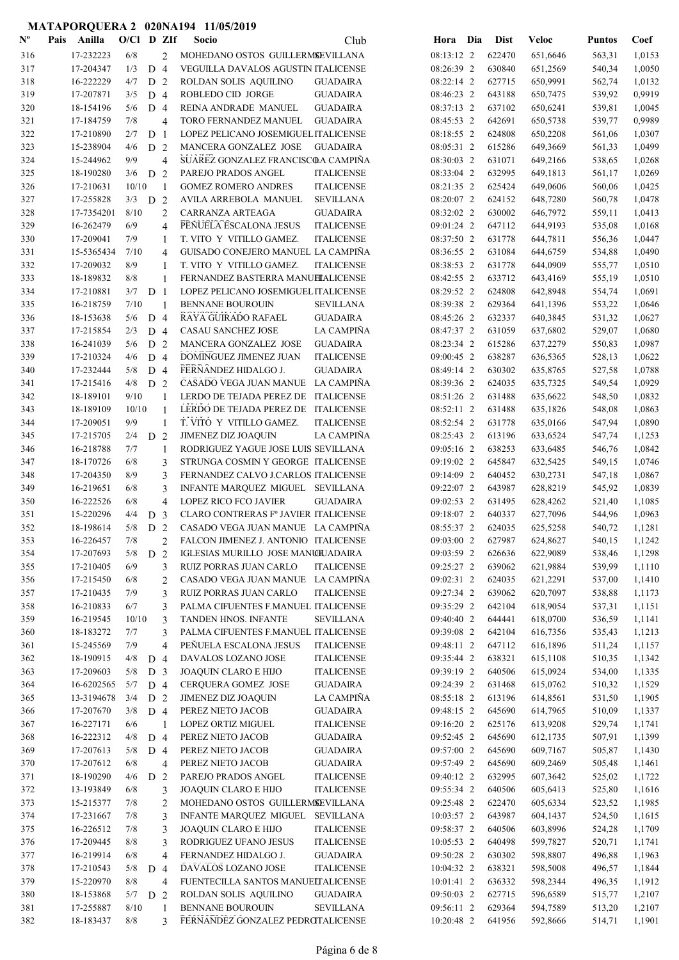| $\mathbf{N}^{\mathbf{o}}$ | Pais | Anilla     | $O/C1$ D ZIf |                |                | Socio                                | Club              | Hora Dia   | <b>Dist</b> | <b>Veloc</b> | <b>Puntos</b> | Coef   |
|---------------------------|------|------------|--------------|----------------|----------------|--------------------------------------|-------------------|------------|-------------|--------------|---------------|--------|
| 316                       |      | 17-232223  | 6/8          |                | 2              | MOHEDANO OSTOS GUILLERMSEVILLANA     |                   | 08:13:12 2 | 622470      | 651,6646     | 563,31        | 1,0153 |
| 317                       |      | 17-204347  | 1/3          | D <sub>4</sub> |                | VEGUILLA DAVALOS AGUSTIN ITALICENSE  |                   | 08:26:39 2 | 630840      | 651,2569     | 540,34        | 1,0050 |
| 318                       |      | 16-222229  | 4/7          | D <sub>2</sub> |                | ROLDAN SOLIS AQUILINO                | <b>GUADAIRA</b>   | 08:22:14 2 | 627715      | 650,9991     | 562,74        | 1,0132 |
| 319                       |      | 17-207871  | 3/5          | D <sub>4</sub> |                | ROBLEDO CID JORGE                    | <b>GUADAIRA</b>   | 08:46:23 2 | 643188      | 650,7475     | 539,92        | 0,9919 |
| 320                       |      | 18-154196  | 5/6          | D <sub>4</sub> |                | REINA ANDRADE MANUEL                 | <b>GUADAIRA</b>   | 08:37:13 2 | 637102      | 650,6241     | 539,81        | 1,0045 |
| 321                       |      | 17-184759  | 7/8          |                | $\overline{4}$ | TORO FERNANDEZ MANUEL                | <b>GUADAIRA</b>   | 08:45:53 2 | 642691      | 650,5738     | 539,77        | 0,9989 |
| 322                       |      | 17-210890  | 2/7          | D <sub>1</sub> |                | LOPEZ PELICANO JOSEMIGUEL ITALICENSE |                   | 08:18:55 2 | 624808      | 650,2208     | 561,06        | 1,0307 |
| 323                       |      | 15-238904  | 4/6          | D <sub>2</sub> |                | MANCERA GONZALEZ JOSE                | <b>GUADAIRA</b>   | 08:05:31 2 | 615286      | 649,3669     | 561,33        | 1,0499 |
| 324                       |      | 15-244962  | 9/9          |                | 4              | SUAREZ GONZALEZ FRANCISCOA CAMPIÑA   |                   | 08:30:03 2 | 631071      | 649,2166     | 538,65        | 1,0268 |
| 325                       |      | 18-190280  | 3/6          | D <sub>2</sub> |                | PAREJO PRADOS ANGEL                  | <b>ITALICENSE</b> | 08:33:04 2 | 632995      | 649,1813     | 561,17        | 1,0269 |
| 326                       |      | 17-210631  | 10/10        |                | 1              | <b>GOMEZ ROMERO ANDRES</b>           | <b>ITALICENSE</b> | 08:21:35 2 | 625424      | 649,0606     | 560,06        | 1,0425 |
| 327                       |      | 17-255828  | $3/3$ D 2    |                |                | AVILA ARREBOLA MANUEL                | <b>SEVILLANA</b>  | 08:20:07 2 | 624152      | 648,7280     | 560,78        | 1,0478 |
| 328                       |      | 17-7354201 | 8/10         |                | 2              | CARRANZA ARTEAGA                     | <b>GUADAIRA</b>   | 08:32:02 2 | 630002      | 646,7972     | 559,11        | 1,0413 |
| 329                       |      | 16-262479  | 6/9          |                | 4              | PEÑUELA ESCALONA JESUS               | <b>ITALICENSE</b> | 09:01:24 2 | 647112      | 644,9193     | 535,08        | 1,0168 |
| 330                       |      | 17-209041  | 7/9          |                | 1              | T. VITO Y VITILLO GAMEZ.             | <b>ITALICENSE</b> | 08:37:50 2 | 631778      | 644,7811     | 556,36        | 1,0447 |
| 331                       |      | 15-5365434 | 7/10         |                | 4              | GUISADO CONEJERO MANUEL LA CAMPIÑA   |                   | 08:36:55 2 | 631084      | 644,6759     | 534,88        | 1,0490 |
| 332                       |      | 17-209032  | 8/9          |                | 1              | T. VITO Y VITILLO GAMEZ.             | <b>ITALICENSE</b> | 08:38:53 2 | 631778      | 644,0909     | 555,77        | 1,0510 |
| 333                       |      | 18-189832  | 8/8          |                | $\mathbf{1}$   | FERNANDEZ BASTERRA MANUELALICENSE    |                   | 08:42:55 2 | 633712      | 643,4169     | 555,19        | 1,0510 |
| 334                       |      | 17-210881  | 3/7          | D <sub>1</sub> |                | LOPEZ PELICANO JOSEMIGUEL ITALICENSE |                   | 08:29:52 2 | 624808      | 642,8948     | 554,74        | 1,0691 |
| 335                       |      | 16-218759  | 7/10         |                | 1              | <b>BENNANE BOUROUIN</b>              | <b>SEVILLANA</b>  | 08:39:38 2 | 629364      | 641,1396     | 553,22        | 1,0646 |
| 336                       |      | 18-153638  | 5/6          | D <sub>4</sub> |                | RAYA GUIRADO RAFAEL                  | <b>GUADAIRA</b>   | 08:45:26 2 | 632337      | 640,3845     | 531,32        | 1,0627 |
| 337                       |      | 17-215854  | 2/3          | D <sub>4</sub> |                | <b>CASAU SANCHEZ JOSE</b>            | LA CAMPIÑA        | 08:47:37 2 | 631059      | 637,6802     | 529,07        | 1,0680 |
| 338                       |      | 16-241039  | 5/6          | D <sub>2</sub> |                | MANCERA GONZALEZ JOSE                | <b>GUADAIRA</b>   | 08:23:34 2 | 615286      | 637,2279     | 550,83        | 1,0987 |
| 339                       |      | 17-210324  | 4/6          | D <sub>4</sub> |                | DOMINGUEZ JIMENEZ JUAN               | <b>ITALICENSE</b> | 09:00:45 2 | 638287      | 636,5365     | 528,13        | 1,0622 |
| 340                       |      | 17-232444  | 5/8          | D <sub>4</sub> |                | FERNANDEZ HIDALGO J.                 | <b>GUADAIRA</b>   | 08:49:14 2 | 630302      | 635,8765     | 527,58        | 1,0788 |
| 341                       |      | 17-215416  | 4/8          | D <sub>2</sub> |                | CASADO VEGA JUAN MANUE LA CAMPIÑA    |                   | 08:39:36 2 | 624035      | 635,7325     | 549,54        | 1,0929 |
| 342                       |      | 18-189101  | 9/10         |                | 1              | LERDO DE TEJADA PEREZ DE ITALICENSE  |                   | 08:51:26 2 | 631488      | 635,6622     | 548,50        | 1,0832 |
| 343                       |      | 18-189109  | 10/10        |                | 1              | LERDO DE TEJADA PEREZ DE ITALICENSE  |                   | 08:52:11 2 | 631488      | 635,1826     | 548,08        | 1,0863 |
| 344                       |      | 17-209051  | 9/9          |                | $\mathbf{1}$   | T. VITO Y VITILLO GAMEZ.             | <b>ITALICENSE</b> | 08:52:54 2 | 631778      | 635,0166     | 547,94        | 1,0890 |
| 345                       |      | 17-215705  | 2/4          | D <sub>2</sub> |                | <b>JIMENEZ DIZ JOAQUIN</b>           | LA CAMPIÑA        | 08:25:43 2 | 613196      | 633,6524     | 547,74        | 1,1253 |
| 346                       |      | 16-218788  | 7/7          |                | $\mathbf{1}$   | RODRIGUEZ YAGUE JOSE LUIS SEVILLANA  |                   | 09:05:16 2 | 638253      | 633,6485     | 546,76        | 1,0842 |
| 347                       |      | 18-170726  | 6/8          |                | 3              | STRUNGA COSMIN Y GEORGE ITALICENSE   |                   | 09:19:02 2 | 645847      | 632,5425     | 549,15        | 1,0746 |
| 348                       |      | 17-204350  | 8/9          |                |                | FERNANDEZ CALVO J.CARLOS ITALICENSE  |                   | 09:14:09 2 | 640452      | 630,2731     | 547,18        | 1,0867 |
|                           |      | 16-219651  | 6/8          |                | 3              |                                      |                   | 09:22:07 2 | 643987      | 628,8219     |               | 1,0839 |
| 349                       |      |            |              |                | 3              | INFANTE MARQUEZ MIGUEL SEVILLANA     |                   |            |             |              | 545,92        |        |
| 350                       |      | 16-222526  | 6/8          |                | 4              | LOPEZ RICO FCO JAVIER                | <b>GUADAIRA</b>   | 09:02:53 2 | 631495      | 628,4262     | 521,40        | 1,1085 |
| 351                       |      | 15-220296  | 4/4          | D <sub>3</sub> |                | CLARO CONTRERAS Fº JAVIER ITALICENSE |                   | 09:18:07 2 | 640337      | 627,7096     | 544,96        | 1,0963 |
| 352                       |      | 18-198614  | 5/8          | D <sub>2</sub> |                | CASADO VEGA JUAN MANUE LA CAMPIÑA    |                   | 08:55:37 2 | 624035      | 625,5258     | 540,72        | 1,1281 |
| 353                       |      | 16-226457  | 7/8          |                | $\mathfrak{D}$ | FALCON JIMENEZ J. ANTONIO ITALICENSE |                   | 09:03:00 2 | 627987      | 624,8627     | 540,15        | 1,1242 |
| 354                       |      | 17-207693  | 5/8          | D <sub>2</sub> |                | IGLESIAS MURILLO JOSE MANCHJADAIRA   |                   | 09:03:59 2 | 626636      | 622,9089     | 538,46        | 1,1298 |
| 355                       |      | 17-210405  | 6/9          |                | 3              | RUIZ PORRAS JUAN CARLO               | <b>ITALICENSE</b> | 09:25:27 2 | 639062      | 621,9884     | 539,99        | 1,1110 |
| 356                       |      | 17-215450  | 6/8          |                | 2              | CASADO VEGA JUAN MANUE LA CAMPIÑA    |                   | 09:02:31 2 | 624035      | 621,2291     | 537,00        | 1,1410 |
| 357                       |      | 17-210435  | 7/9          |                | 3              | RUIZ PORRAS JUAN CARLO               | <b>ITALICENSE</b> | 09:27:34 2 | 639062      | 620,7097     | 538,88        | 1,1173 |
| 358                       |      | 16-210833  | 6/7          |                | 3              | PALMA CIFUENTES F.MANUEL ITALICENSE  |                   | 09:35:29 2 | 642104      | 618,9054     | 537,31        | 1,1151 |
| 359                       |      | 16-219545  | 10/10        |                | 3              | TANDEN HNOS. INFANTE                 | <b>SEVILLANA</b>  | 09:40:40 2 | 644441      | 618,0700     | 536,59        | 1,1141 |
| 360                       |      | 18-183272  | 7/7          |                | 3              | PALMA CIFUENTES F.MANUEL ITALICENSE  |                   | 09:39:08 2 | 642104      | 616,7356     | 535,43        | 1,1213 |
| 361                       |      | 15-245569  | 7/9          |                | 4              | PEÑUELA ESCALONA JESUS               | <b>ITALICENSE</b> | 09:48:11 2 | 647112      | 616,1896     | 511,24        | 1,1157 |
| 362                       |      | 18-190915  | 4/8          | D <sub>4</sub> |                | DAVALOS LOZANO JOSE                  | <b>ITALICENSE</b> | 09:35:44 2 | 638321      | 615,1108     | 510,35        | 1,1342 |
| 363                       |      | 17-209603  | 5/8          | D <sub>3</sub> |                | JOAQUIN CLARO E HIJO                 | <b>ITALICENSE</b> | 09:39:19 2 | 640506      | 615,0924     | 534,00        | 1,1335 |
| 364                       |      | 16-6202565 | 5/7          | D <sub>4</sub> |                | CERQUERA GOMEZ JOSE                  | <b>GUADAIRA</b>   | 09:24:39 2 | 631468      | 615,0762     | 510,32        | 1,1529 |
| 365                       |      | 13-3194678 | 3/4          | D <sub>2</sub> |                | JIMENEZ DIZ JOAQUIN                  | LA CAMPIÑA        | 08:55:18 2 | 613196      | 614,8561     | 531,50        | 1,1905 |
| 366                       |      | 17-207670  | 3/8          | D <sub>4</sub> |                | PEREZ NIETO JACOB                    | <b>GUADAIRA</b>   | 09:48:15 2 | 645690      | 614,7965     | 510,09        | 1,1337 |
| 367                       |      | 16-227171  | 6/6          |                | 1              | LOPEZ ORTIZ MIGUEL                   | <b>ITALICENSE</b> | 09:16:20 2 | 625176      | 613,9208     | 529,74        | 1,1741 |
| 368                       |      | 16-222312  | 4/8          | D <sub>4</sub> |                | PEREZ NIETO JACOB                    | <b>GUADAIRA</b>   | 09:52:45 2 | 645690      | 612,1735     | 507,91        | 1,1399 |
| 369                       |      | 17-207613  | 5/8          | D <sub>4</sub> |                | PEREZ NIETO JACOB                    | <b>GUADAIRA</b>   | 09:57:00 2 | 645690      | 609,7167     | 505,87        | 1,1430 |
| 370                       |      | 17-207612  | 6/8          |                | 4              | PEREZ NIETO JACOB                    | <b>GUADAIRA</b>   | 09:57:49 2 | 645690      | 609,2469     | 505,48        | 1,1461 |
| 371                       |      | 18-190290  | 4/6          | D <sub>2</sub> |                | PAREJO PRADOS ANGEL                  | <b>ITALICENSE</b> | 09:40:12 2 | 632995      | 607,3642     | 525,02        | 1,1722 |
| 372                       |      | 13-193849  | 6/8          |                | 3              | JOAQUIN CLARO E HIJO                 | <b>ITALICENSE</b> | 09:55:34 2 | 640506      | 605,6413     | 525,80        | 1,1616 |
| 373                       |      | 15-215377  | 7/8          |                | 2              | MOHEDANO OSTOS GUILLERMSEVILLANA     |                   | 09:25:48 2 | 622470      | 605,6334     | 523,52        | 1,1985 |
| 374                       |      | 17-231667  | 7/8          |                | 3              | INFANTE MARQUEZ MIGUEL SEVILLANA     |                   | 10:03:57 2 | 643987      | 604,1437     | 524,50        | 1,1615 |
| 375                       |      | 16-226512  | 7/8          |                | 3              | JOAQUIN CLARO E HIJO                 | <b>ITALICENSE</b> | 09:58:37 2 | 640506      | 603,8996     | 524,28        | 1,1709 |
| 376                       |      | 17-209445  | 8/8          |                | 3              | RODRIGUEZ UFANO JESUS                | <b>ITALICENSE</b> | 10:05:53 2 | 640498      | 599,7827     | 520,71        | 1,1741 |
| 377                       |      | 16-219914  | 6/8          |                | 4              | FERNANDEZ HIDALGO J.                 | <b>GUADAIRA</b>   | 09:50:28 2 | 630302      | 598,8807     | 496,88        | 1,1963 |
| 378                       |      | 17-210543  | 5/8          | D 4            |                | DAVALOS LOZANO JOSE                  | <b>ITALICENSE</b> | 10:04:32 2 | 638321      | 598,5008     | 496,57        | 1,1844 |
| 379                       |      | 15-220970  | 8/8          |                | 4              | FUENTECILLA SANTOS MANUELTALICENSE   |                   | 10:01:41 2 | 636332      | 598,2344     | 496,35        | 1,1912 |
| 380                       |      | 18-153868  | $5/7$ D 2    |                |                | ROLDAN SOLIS AQUILINO                | <b>GUADAIRA</b>   | 09:50:03 2 | 627715      | 596,6589     | 515,77        | 1,2107 |
| 381                       |      | 17-255887  | $8/10\,$     |                | $\mathbf{1}$   | BENNANE BOUROUIN                     | <b>SEVILLANA</b>  | 09:56:11 2 | 629364      | 594,7589     | 513,20        | 1,2107 |

382 18-183437 8/8 3 FERNANDEZ GONZALEZ PEDROTALICENSE 10:20:48 2 641956 592,8666 514,71 1,1901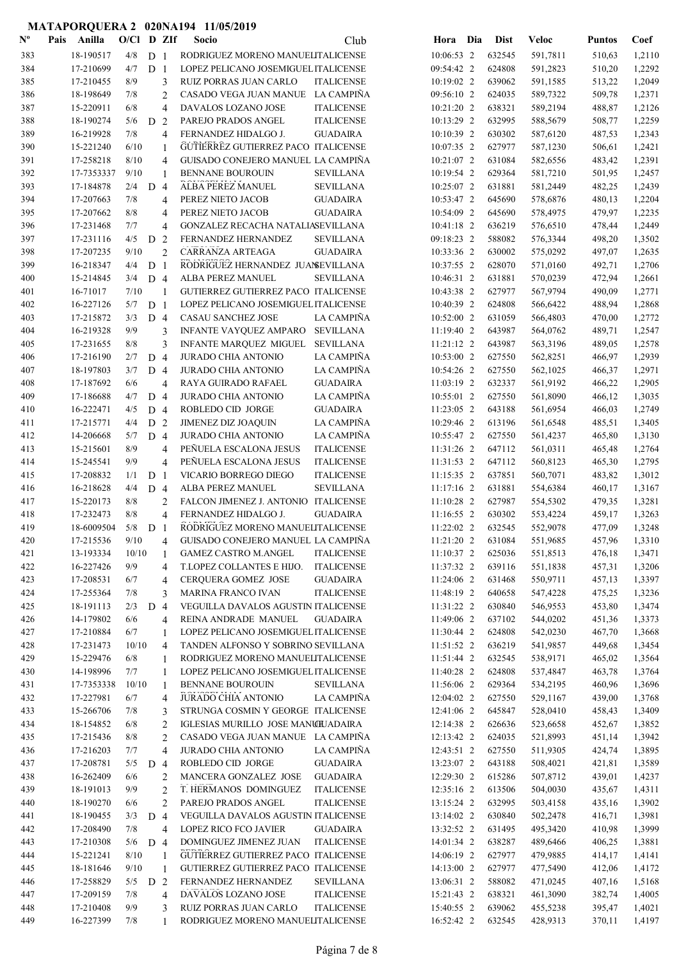|                           |      |                        |              |                |                                  | MATAPORQUERA 2 020NA194 11/05/2019                                |                   |                          |     |                  |                      |                  |                  |
|---------------------------|------|------------------------|--------------|----------------|----------------------------------|-------------------------------------------------------------------|-------------------|--------------------------|-----|------------------|----------------------|------------------|------------------|
| $\mathbf{N}^{\mathbf{o}}$ | Pais | Anilla                 | O/Cl D ZIf   |                |                                  | Socio                                                             | Club              | Hora                     | Dia | <b>Dist</b>      | <b>Veloc</b>         | <b>Puntos</b>    | Coef             |
| 383                       |      | 18-190517              | 4/8          | D <sub>1</sub> |                                  | RODRIGUEZ MORENO MANUELITALICENSE                                 |                   | 10:06:53 2               |     | 632545           | 591,7811             | 510,63           | 1,2110           |
| 384                       |      | 17-210699              | 4/7          | D <sub>1</sub> |                                  | LOPEZ PELICANO JOSEMIGUEL ITALICENSE                              |                   | 09:54:42 2               |     | 624808           | 591,2823             | 510,20           | 1,2292           |
| 385                       |      | 17-210455              | 8/9          |                | 3                                | RUIZ PORRAS JUAN CARLO                                            | <b>ITALICENSE</b> | 10:19:02 2               |     | 639062           | 591,1585             | 513,22           | 1,2049           |
| 386                       |      | 18-198649              | 7/8          |                | $\overline{2}$                   | CASADO VEGA JUAN MANUE LA CAMPIÑA                                 |                   | 09:56:10 2               |     | 624035           | 589,7322             | 509,78           | 1,2371           |
| 387                       |      | 15-220911              | 6/8          |                | $\overline{4}$                   | DAVALOS LOZANO JOSE                                               | <b>ITALICENSE</b> | 10:21:20 2               |     | 638321           | 589,2194             | 488,87           | 1,2126           |
| 388                       |      | 18-190274              | 5/6          | D              | 2                                | PAREJO PRADOS ANGEL                                               | <b>ITALICENSE</b> | 10:13:29 2               |     | 632995           | 588,5679             | 508,77           | 1,2259           |
| 389                       |      | 16-219928              | 7/8          |                | $\overline{4}$                   | FERNANDEZ HIDALGO J.                                              | <b>GUADAIRA</b>   | 10:10:39 2               |     | 630302           | 587,6120             | 487,53           | 1,2343           |
| 390                       |      | 15-221240              | 6/10         |                | $\mathbf{1}$                     | GUTIERREZ GUTIERREZ PACO ITALICENSE                               |                   | 10:07:35 2               |     | 627977           | 587,1230             | 506,61           | 1,2421           |
| 391                       |      | 17-258218              | 8/10         |                | $\overline{4}$                   | GUISADO CONEJERO MANUEL LA CAMPIÑA                                |                   | 10:21:07 2               |     | 631084           | 582,6556             | 483,42           | 1,2391           |
| 392                       |      | 17-7353337             | 9/10         |                | $\mathbf{1}$                     | <b>BENNANE BOUROUIN</b>                                           | <b>SEVILLANA</b>  | 10:19:54 2               |     | 629364           | 581,7210             | 501,95           | 1,2457           |
| 393                       |      | 17-184878              | 2/4          | D <sub>4</sub> |                                  | ALBA PEREZ MANUEL                                                 | <b>SEVILLANA</b>  | 10:25:07 2               |     | 631881           | 581,2449             | 482,25           | 1,2439           |
| 394                       |      | 17-207663              | 7/8          |                | 4                                | PEREZ NIETO JACOB                                                 | <b>GUADAIRA</b>   | 10:53:47 2               |     | 645690           | 578,6876             | 480,13           | 1,2204           |
| 395                       |      | 17-207662              | 8/8          |                | 4                                | PEREZ NIETO JACOB                                                 | <b>GUADAIRA</b>   | 10:54:09 2               |     | 645690           | 578,4975             | 479,97           | 1,2235           |
| 396                       |      | 17-231468              | 7/7          |                | $\overline{4}$                   | GONZALEZ RECACHA NATALIASEVILLANA                                 |                   | 10:41:18 2               |     | 636219           | 576,6510             | 478,44           | 1,2449           |
| 397                       |      | 17-231116              | 4/5          | D              | $\overline{2}$                   | FERNANDEZ HERNANDEZ                                               | <b>SEVILLANA</b>  | 09:18:23 2               |     | 588082           | 576,3344             | 498,20           | 1,3502           |
| 398                       |      | 17-207235              | 9/10         |                | $\overline{2}$                   | CARRANZA ARTEAGA                                                  | <b>GUADAIRA</b>   | 10:33:36 2               |     | 630002           | 575,0292             | 497,07           | 1,2635           |
| 399                       |      | 16-218347              | 4/4          | D              | $\overline{1}$                   | RODRIGUEZ HERNANDEZ JUANEVILLANA                                  |                   | 10:37:55 2               |     | 628070           | 571,0160             | 492,71           | 1,2706           |
| 400                       |      | 15-214845              | 3/4          | $D_4$          |                                  | ALBA PEREZ MANUEL                                                 | <b>SEVILLANA</b>  | 10:46:31 2               |     | 631881           | 570,0239             | 472,94           | 1,2661           |
| 401                       |      | 16-71017               | 7/10         |                | $\mathbf{1}$                     | GUTIERREZ GUTIERREZ PACO ITALICENSE                               |                   | 10:43:38 2               |     | 627977           | 567,9794             | 490,09           | 1,2771           |
| 402                       |      | 16-227126              | 5/7          | D <sub>1</sub> |                                  | LOPEZ PELICANO JOSEMIGUEL ITALICENSE                              |                   | 10:40:39 2               |     | 624808           | 566,6422             | 488,94           | 1,2868           |
| 403                       |      | 17-215872              | 3/3          | $D_4$          |                                  | <b>CASAU SANCHEZ JOSE</b>                                         | LA CAMPIÑA        | 10:52:00 2               |     | 631059           | 566,4803             | 470,00           | 1,2772           |
| 404                       |      | 16-219328              | 9/9          |                | 3                                | INFANTE VAYQUEZ AMPARO                                            | <b>SEVILLANA</b>  | 11:19:40 2               |     | 643987           | 564,0762             | 489,71           | 1,2547           |
| 405                       |      | 17-231655              | 8/8          |                | 3                                | INFANTE MARQUEZ MIGUEL                                            | <b>SEVILLANA</b>  | 11:21:12 2               |     | 643987           | 563,3196             | 489,05           | 1,2578           |
| 406                       |      | 17-216190              | 2/7          | D <sub>4</sub> |                                  | <b>JURADO CHIA ANTONIO</b>                                        | LA CAMPIÑA        | 10:53:00 2               |     | 627550           | 562,8251             | 466,97           | 1,2939           |
| 407                       |      | 18-197803              | 3/7          | D <sub>4</sub> |                                  | <b>JURADO CHIA ANTONIO</b>                                        | LA CAMPIÑA        | 10:54:26 2               |     | 627550           | 562,1025             | 466,37           | 1,2971           |
| 408                       |      | 17-187692              | 6/6          |                | $\overline{4}$                   | RAYA GUIRADO RAFAEL                                               | <b>GUADAIRA</b>   | 11:03:19 2               |     | 632337           | 561,9192             | 466,22           | 1,2905           |
| 409                       |      | 17-186688              | 4/7          | D              | $\overline{4}$                   | <b>JURADO CHIA ANTONIO</b>                                        | LA CAMPIÑA        | 10:55:01 2               |     | 627550           | 561,8090             | 466,12           | 1,3035           |
| 410                       |      | 16-222471              | 4/5          | D 4            |                                  | ROBLEDO CID JORGE                                                 | <b>GUADAIRA</b>   | 11:23:05 2               |     | 643188           | 561,6954             | 466,03           | 1,2749           |
| 411                       |      | 17-215771              | 4/4          | D <sub>2</sub> |                                  | <b>JIMENEZ DIZ JOAQUIN</b>                                        | LA CAMPIÑA        | 10:29:46 2               |     | 613196           | 561,6548             | 485,51           | 1,3405           |
| 412                       |      | 14-206668              | 5/7          | D 4            |                                  | <b>JURADO CHIA ANTONIO</b>                                        | LA CAMPIÑA        | 10:55:47 2               |     | 627550           | 561,4237             | 465,80           | 1,3130           |
| 413                       |      | 15-215601              | 8/9          |                | $\overline{4}$                   | PEÑUELA ESCALONA JESUS                                            | <b>ITALICENSE</b> | 11:31:26 2               |     | 647112           | 561,0311             | 465,48           | 1,2764           |
| 414                       |      | 15-245541              | 9/9          |                | $\overline{4}$                   | PEÑUELA ESCALONA JESUS                                            | <b>ITALICENSE</b> | 11:31:53 2               |     | 647112           | 560,8123             | 465,30           | 1,2795           |
| 415                       |      | 17-208832              | 1/1          | $\mathbf D$    | $\mathbf{1}$                     | VICARIO BORREGO DIEGO                                             | <b>ITALICENSE</b> | 11:15:35 2               |     | 637851           | 560,7071             | 483,82           | 1,3012           |
| 416                       |      | 16-218628              | 4/4          | D 4            |                                  | ALBA PEREZ MANUEL                                                 | <b>SEVILLANA</b>  | 11:17:16 2               |     | 631881           | 554,6384             | 460,17           | 1,3167           |
| 417                       |      | 15-220173              | 8/8          |                | $\overline{2}$                   | FALCON JIMENEZ J. ANTONIO ITALICENSE                              |                   | 11:10:28 2               |     | 627987           | 554,5302             | 479,35           | 1,3281           |
| 418                       |      | 17-232473              | 8/8          |                | $\overline{4}$                   | FERNANDEZ HIDALGO J.<br>RODRIGUEZ MORENO MANUELITALICENSE         | <b>GUADAIRA</b>   | 11:16:55 2               |     | 630302           | 553,4224             | 459,17           | 1,3263           |
| 419                       |      | 18-6009504             | 5/8          | D <sub>1</sub> |                                  |                                                                   |                   | 11:22:02 2               |     | 632545<br>631084 | 552,9078             | 477,09           | 1,3248           |
| 420                       |      | 17-215536<br>13-193334 | 9/10         |                | 4                                | GUISADO CONEJERO MANUEL LA CAMPIÑA<br><b>GAMEZ CASTRO M.ANGEL</b> | <b>ITALICENSE</b> | 11:21:20 2               |     |                  | 551,9685             | 457,96           | 1,3310           |
| 421<br>422                |      | 16-227426              | 10/10<br>9/9 |                | 1                                | T.LOPEZ COLLANTES E HIJO.                                         | <b>ITALICENSE</b> | 11:10:37 2<br>11:37:32 2 |     | 625036<br>639116 | 551,8513<br>551,1838 | 476,18           | 1,3471           |
| 423                       |      | 17-208531              | 6/7          |                | $\overline{4}$<br>$\overline{4}$ | CERQUERA GOMEZ JOSE                                               | <b>GUADAIRA</b>   | 11:24:06 2               |     | 631468           | 550,9711             | 457,31<br>457,13 | 1,3206<br>1,3397 |
| 424                       |      | 17-255364              | 7/8          |                | 3                                | <b>MARINA FRANCO IVAN</b>                                         | <b>ITALICENSE</b> | 11:48:19 2               |     | 640658           | 547,4228             | 475,25           | 1,3236           |
| 425                       |      | 18-191113              | 2/3          | $D_4$          |                                  | VEGUILLA DAVALOS AGUSTIN ITALICENSE                               |                   | 11:31:22 2               |     | 630840           | 546,9553             | 453,80           | 1,3474           |
| 426                       |      | 14-179802              | 6/6          |                | $\overline{4}$                   | REINA ANDRADE MANUEL                                              | <b>GUADAIRA</b>   | 11:49:06 2               |     | 637102           | 544,0202             | 451,36           | 1,3373           |
| 427                       |      | 17-210884              | 6/7          |                | 1                                | LOPEZ PELICANO JOSEMIGUEL ITALICENSE                              |                   | 11:30:44 2               |     | 624808           | 542,0230             | 467,70           | 1,3668           |
| 428                       |      | 17-231473              | 10/10        |                | $\overline{4}$                   | TANDEN ALFONSO Y SOBRINO SEVILLANA                                |                   | 11:51:52 2               |     | 636219           | 541,9857             | 449,68           | 1,3454           |
| 429                       |      | 15-229476              | 6/8          |                | 1                                | RODRIGUEZ MORENO MANUELITALICENSE                                 |                   | 11:51:44 2               |     | 632545           | 538,9171             | 465,02           | 1,3564           |
| 430                       |      | 14-198996              | 7/7          |                | 1                                | LOPEZ PELICANO JOSEMIGUEL ITALICENSE                              |                   | 11:40:28 2               |     | 624808           | 537,4847             | 463,78           | 1,3764           |
| 431                       |      | 17-7353338             | 10/10        |                | 1                                | BENNANE BOUROUIN                                                  | <b>SEVILLANA</b>  | 11:56:06 2               |     | 629364           | 534,2195             | 460,96           | 1,3696           |
| 432                       |      | 17-227981              | 6/7          |                | $\overline{4}$                   | <b>JURADO CHIA ANTONIO</b>                                        | LA CAMPIÑA        | 12:04:02 2               |     | 627550           | 529,1167             | 439,00           | 1,3768           |
| 433                       |      | 15-266706              | 7/8          |                | 3                                | STRUNGA COSMIN Y GEORGE ITALICENSE                                |                   | 12:41:06 2               |     | 645847           | 528,0410             | 458,43           | 1,3409           |
| 434                       |      | 18-154852              | 6/8          |                | $\mathfrak{2}$                   | IGLESIAS MURILLO JOSE MANUILJADAIRA                               |                   | 12:14:38 2               |     | 626636           | 523,6658             | 452,67           | 1,3852           |
| 435                       |      | 17-215436              | 8/8          |                | 2                                | CASADO VEGA JUAN MANUE LA CAMPIÑA                                 |                   | $12:13:42$ 2             |     | 624035           | 521,8993             | 451,14           | 1,3942           |
| 436                       |      | 17-216203              | 7/7          |                | 4                                | <b>JURADO CHIA ANTONIO</b>                                        | LA CAMPIÑA        | 12:43:51 2               |     | 627550           | 511,9305             | 424,74           | 1,3895           |
| 437                       |      | 17-208781              | 5/5          | D 4            |                                  | ROBLEDO CID JORGE                                                 | <b>GUADAIRA</b>   | 13:23:07 2               |     | 643188           | 508,4021             | 421,81           | 1,3589           |
| 438                       |      | 16-262409              | 6/6          |                | $\overline{c}$                   | MANCERA GONZALEZ JOSE                                             | <b>GUADAIRA</b>   | 12:29:30 2               |     | 615286           | 507,8712             | 439,01           | 1,4237           |
| 439                       |      | 18-191013              | 9/9          |                | $\overline{c}$                   | T. HERMANOS DOMINGUEZ                                             | <b>ITALICENSE</b> | 12:35:16 2               |     | 613506           | 504,0030             | 435,67           | 1,4311           |
| 440                       |      | 18-190270              | 6/6          |                | $\overline{2}$                   | PAREJO PRADOS ANGEL                                               | <b>ITALICENSE</b> | 13:15:24 2               |     | 632995           | 503,4158             | 435,16           | 1,3902           |
| 441                       |      | 18-190455              | 3/3          | D <sub>4</sub> |                                  | VEGUILLA DAVALOS AGUSTIN ITALICENSE                               |                   | 13:14:02 2               |     | 630840           | 502,2478             | 416,71           | 1,3981           |
| 442                       |      | 17-208490              | 7/8          |                | 4                                | <b>LOPEZ RICO FCO JAVIER</b>                                      | <b>GUADAIRA</b>   | 13:32:52 2               |     | 631495           | 495,3420             | 410,98           | 1,3999           |
| 443                       |      | 17-210308              | $5/6$ D 4    |                |                                  | DOMINGUEZ JIMENEZ JUAN                                            | <b>ITALICENSE</b> | 14:01:34 2               |     | 638287           | 489,6466             | 406,25           | 1,3881           |
| 444                       |      | 15-221241              | 8/10         |                | 1                                | GUTIERREZ GUTIERREZ PACO ITALICENSE                               |                   | 14:06:19 2               |     | 627977           | 479,9885             | 414,17           | 1,4141           |
| 445                       |      | 18-181646              | 9/10         |                | 1                                | GUTIERREZ GUTIERREZ PACO ITALICENSE                               |                   | 14:13:00 2               |     | 627977           | 477,5490             | 412,06           | 1,4172           |
| 446                       |      | 17-258829              | 5/5          | D <sub>2</sub> |                                  | FERNANDEZ HERNANDEZ                                               | <b>SEVILLANA</b>  | 13:06:31 2               |     | 588082           | 471,0245             | 407,16           | 1,5168           |
| 447                       |      | 17-209159              | 7/8          |                | $\overline{4}$                   | DAVALOS LOZANO JOSE                                               | <b>ITALICENSE</b> | 15:21:43 2               |     | 638321           | 461,3090             | 382,74           | 1,4005           |
| 448                       |      | 17-210408              | 9/9          |                | 3                                | RUIZ PORRAS JUAN CARLO                                            | <b>ITALICENSE</b> | 15:40:55 2               |     | 639062           | 455,5238             | 395,47           | 1,4021           |
| 449                       |      | 16-227399              | 7/8          |                | $\mathbf{1}$                     | RODRIGUEZ MORENO MANUELITALICENSE                                 |                   | 16:52:42 2               |     | 632545           | 428,9313             | 370,11           | 1,4197           |